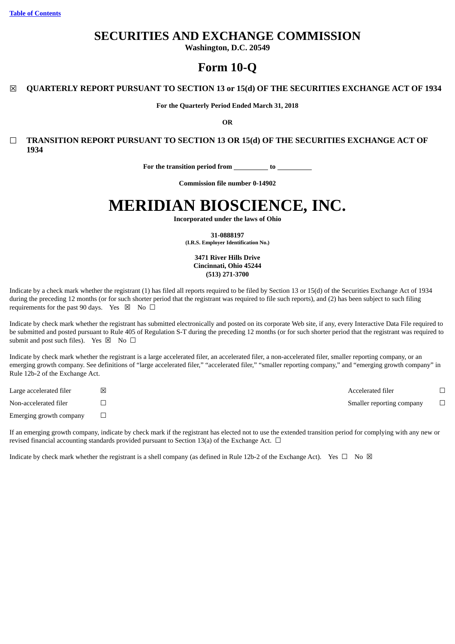# **SECURITIES AND EXCHANGE COMMISSION**

**Washington, D.C. 20549**

# **Form 10-Q**

## ☒ **QUARTERLY REPORT PURSUANT TO SECTION 13 or 15(d) OF THE SECURITIES EXCHANGE ACT OF 1934**

**For the Quarterly Period Ended March 31, 2018**

**OR**

## ☐ **TRANSITION REPORT PURSUANT TO SECTION 13 OR 15(d) OF THE SECURITIES EXCHANGE ACT OF 1934**

**For the transition period from to**

**Commission file number 0-14902**

# **MERIDIAN BIOSCIENCE, INC.**

**Incorporated under the laws of Ohio**

**31-0888197 (I.R.S. Employer Identification No.)**

#### **3471 River Hills Drive Cincinnati, Ohio 45244 (513) 271-3700**

Indicate by a check mark whether the registrant (1) has filed all reports required to be filed by Section 13 or 15(d) of the Securities Exchange Act of 1934 during the preceding 12 months (or for such shorter period that the registrant was required to file such reports), and (2) has been subject to such filing requirements for the past 90 days. Yes  $\boxtimes$  No  $\Box$ 

Indicate by check mark whether the registrant has submitted electronically and posted on its corporate Web site, if any, every Interactive Data File required to be submitted and posted pursuant to Rule 405 of Regulation S-T during the preceding 12 months (or for such shorter period that the registrant was required to submit and post such files). Yes  $\boxtimes$  No  $\Box$ 

Indicate by check mark whether the registrant is a large accelerated filer, an accelerated filer, a non-accelerated filer, smaller reporting company, or an emerging growth company. See definitions of "large accelerated filer," "accelerated filer," "smaller reporting company," and "emerging growth company" in Rule 12b-2 of the Exchange Act.

| Large accelerated filer | ⊠ | Accelerated filer         |  |
|-------------------------|---|---------------------------|--|
| Non-accelerated filer   |   | Smaller reporting company |  |
| Emerging growth company |   |                           |  |

If an emerging growth company, indicate by check mark if the registrant has elected not to use the extended transition period for complying with any new or revised financial accounting standards provided pursuant to Section 13(a) of the Exchange Act.  $\Box$ 

Indicate by check mark whether the registrant is a shell company (as defined in Rule 12b-2 of the Exchange Act). Yes  $\Box$  No  $\boxtimes$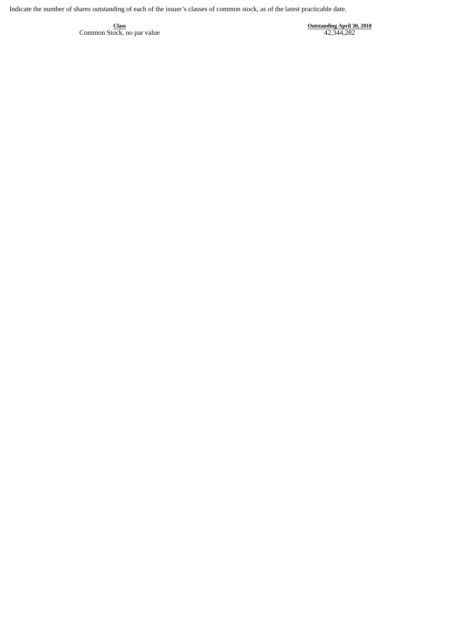Indicate the number of shares outstanding of each of the issuer's classes of common stock, as of the latest practicable date.

 $\frac{\text{Class}}{\text{Common Stock, no par value}}$ 

**Class Outstanding April 30, 2018**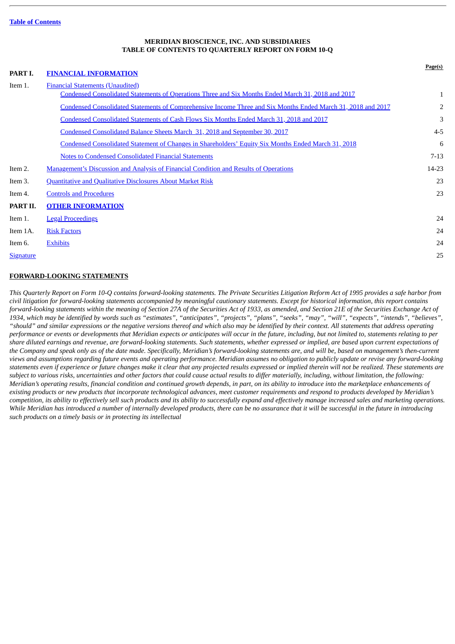## **MERIDIAN BIOSCIENCE, INC. AND SUBSIDIARIES TABLE OF CONTENTS TO QUARTERLY REPORT ON FORM 10-Q**

<span id="page-2-0"></span>

| PART I.          | <b>FINANCIAL INFORMATION</b>                                                                                                                  | Page(s)        |
|------------------|-----------------------------------------------------------------------------------------------------------------------------------------------|----------------|
| Item 1.          | <b>Financial Statements (Unaudited)</b><br>Condensed Consolidated Statements of Operations Three and Six Months Ended March 31, 2018 and 2017 | $\mathbf{1}$   |
|                  | Condensed Consolidated Statements of Comprehensive Income Three and Six Months Ended March 31, 2018 and 2017                                  | $\overline{2}$ |
|                  | Condensed Consolidated Statements of Cash Flows Six Months Ended March 31, 2018 and 2017                                                      | 3              |
|                  | Condensed Consolidated Balance Sheets March 31, 2018 and September 30, 2017                                                                   | $4 - 5$        |
|                  | <u>Condensed Consolidated Statement of Changes in Shareholders' Equity Six Months Ended March 31, 2018</u>                                    | 6              |
|                  | <b>Notes to Condensed Consolidated Financial Statements</b>                                                                                   | $7 - 13$       |
| Item 2.          | <b>Management's Discussion and Analysis of Financial Condition and Results of Operations</b>                                                  | 14-23          |
| Item 3.          | <b>Quantitative and Qualitative Disclosures About Market Risk</b>                                                                             | 23             |
| Item 4.          | <b>Controls and Procedures</b>                                                                                                                | 23             |
| PART II.         | <b>OTHER INFORMATION</b>                                                                                                                      |                |
| Item 1.          | <b>Legal Proceedings</b>                                                                                                                      | 24             |
| Item 1A.         | <b>Risk Factors</b>                                                                                                                           | 24             |
| Item 6.          | <b>Exhibits</b>                                                                                                                               | 24             |
| <b>Signature</b> |                                                                                                                                               | 25             |
|                  |                                                                                                                                               |                |

#### **FORWARD-LOOKING STATEMENTS**

This Quarterly Report on Form 10-Q contains forward-looking statements. The Private Securities Litigation Reform Act of 1995 provides a safe harbor from civil litigation for forward-looking statements accompanied by meaningful cautionary statements. Except for historical information, this report contains forward-looking statements within the meaning of Section 27A of the Securities Act of 1933, as amended, and Section 21E of the Securities Exchange Act of .<br>1934, which may be identified by words such as "estimates", "anticipates", "projects", "plans", "seeks", "may", "will", "expects", "intends", "believes", "should" and similar expressions or the negative versions thereof and which also may be identified by their context. All statements that address operating performance or events or developments that Meridian expects or anticipates will occur in the future, including, but not limited to, statements relating to per share diluted earnings and revenue, are forward-looking statements. Such statements, whether expressed or implied, are based upon current expectations of the Company and speak only as of the date made. Specifically, Meridian's forward-looking statements are, and will be, based on management's then-current views and assumptions regarding future events and operating performance. Meridian assumes no obligation to publicly update or revise any forward-looking statements even if experience or future changes make it clear that any projected results expressed or implied therein will not be realized. These statements are subject to various risks, uncertainties and other factors that could cause actual results to differ materially, including, without limitation, the following: Meridian's operating results, financial condition and continued growth depends, in part, on its ability to introduce into the marketplace enhancements of existing products or new products that incorporate technological advances, meet customer requirements and respond to products developed by Meridian's competition, its ability to effectively sell such products and its ability to successfully expand and effectively manage increased sales and marketing operations. While Meridian has introduced a number of internally developed products, there can be no assurance that it will be successful in the future in introducing *such products on a timely basis or in protecting its intellectual*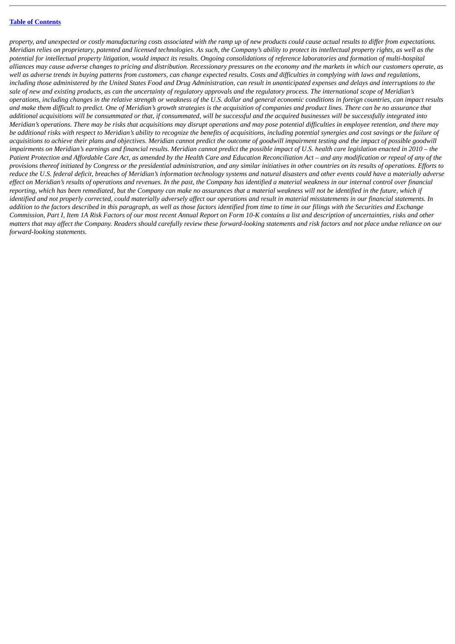property, and unexpected or costly manufacturing costs associated with the ramp up of new products could cause actual results to differ from expectations. Meridian relies on proprietary, patented and licensed technologies. As such, the Company's ability to protect its intellectual property rights, as well as the potential for intellectual property litigation, would impact its results. Ongoing consolidations of reference laboratories and formation of multi-hospital alliances may cause adverse changes to pricing and distribution. Recessionary pressures on the economy and the markets in which our customers operate, as well as adverse trends in buying patterns from customers, can change expected results. Costs and difficulties in complying with laws and regulations, including those administered by the United States Food and Drug Administration, can result in unanticipated expenses and delays and interruptions to the sale of new and existing products, as can the uncertainty of regulatory approvals and the regulatory process. The international scope of Meridian's operations, including changes in the relative strength or weakness of the U.S. dollar and general economic conditions in foreign countries, can impact results and make them difficult to predict. One of Meridian's growth strategies is the acquisition of companies and product lines. There can be no assurance that additional acquisitions will be consummated or that, if consummated, will be successful and the acquired businesses will be successfully integrated into Meridian's operations. There may be risks that acquisitions may disrupt operations and may pose potential difficulties in employee retention, and there may be additional risks with respect to Meridian's ability to recognize the benefits of acquisitions, including potential synergies and cost savings or the failure of acquisitions to achieve their plans and objectives. Meridian cannot predict the outcome of goodwill impairment testing and the impact of possible goodwill impairments on Meridian's earnings and financial results. Meridian cannot predict the possible impact of U.S. health care legislation enacted in 2010 - the Patient Protection and Affordable Care Act, as amended by the Health Care and Education Reconciliation Act - and any modification or repeal of any of the provisions thereof initiated by Congress or the presidential administration, and any similar initiatives in other countries on its results of operations. Efforts to reduce the U.S. federal deficit, breaches of Meridian's information technology systems and natural disasters and other events could have a materially adverse effect on Meridian's results of operations and revenues. In the past, the Company has identified a material weakness in our internal control over financial reporting, which has been remediated, but the Company can make no assurances that a material weakness will not be identified in the future, which if identified and not properly corrected, could materially adversely affect our operations and result in material misstatements in our financial statements. In addition to the factors described in this paragraph, as well as those factors identified from time to time in our filings with the Securities and Exchange Commission, Part I, Item 1A Risk Factors of our most recent Annual Report on Form 10-K contains a list and description of uncertainties, risks and other matters that may affect the Company. Readers should carefully review these forward-looking statements and risk factors and not place undue reliance on our *forward-looking statements.*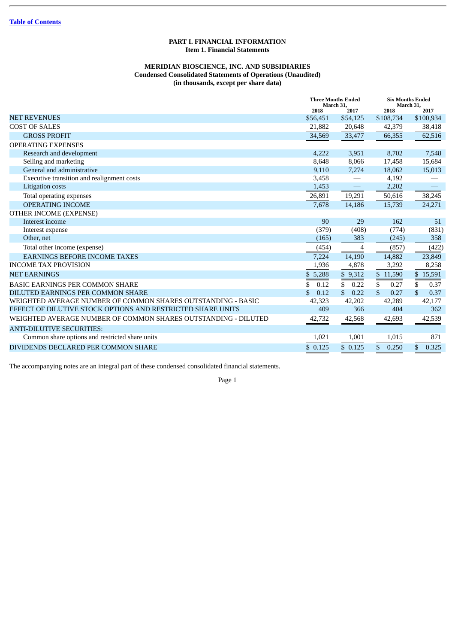## **PART I. FINANCIAL INFORMATION Item 1. Financial Statements**

## **MERIDIAN BIOSCIENCE, INC. AND SUBSIDIARIES Condensed Consolidated Statements of Operations (Unaudited) (in thousands, except per share data)**

<span id="page-4-2"></span><span id="page-4-1"></span><span id="page-4-0"></span>

|                                                                | <b>Three Months Ended</b><br>March 31, |                      | <b>Six Months Ended</b><br>March 31, |                      |
|----------------------------------------------------------------|----------------------------------------|----------------------|--------------------------------------|----------------------|
| <b>NET REVENUES</b>                                            | 2018<br>\$56,451                       | 2017<br>\$54,125     | 2018<br>\$108,734                    | 2017<br>\$100,934    |
| <b>COST OF SALES</b>                                           | 21,882                                 | 20,648               | 42,379                               | 38,418               |
| <b>GROSS PROFIT</b>                                            |                                        |                      |                                      |                      |
|                                                                | 34,569                                 | 33,477               | 66,355                               | 62,516               |
| <b>OPERATING EXPENSES</b>                                      |                                        |                      |                                      |                      |
| Research and development                                       | 4,222                                  | 3,951                | 8,702                                | 7,548                |
| Selling and marketing                                          | 8,648                                  | 8,066                | 17,458                               | 15,684               |
| General and administrative                                     | 9,110                                  | 7,274                | 18,062                               | 15,013               |
| Executive transition and realignment costs                     | 3,458                                  |                      | 4,192                                |                      |
| <b>Litigation costs</b>                                        | 1,453                                  |                      | 2,202                                |                      |
| Total operating expenses                                       | 26,891                                 | 19,291               | 50,616                               | 38,245               |
| <b>OPERATING INCOME</b>                                        | 7,678                                  | 14,186               | 15,739                               | 24,271               |
| OTHER INCOME (EXPENSE)                                         |                                        |                      |                                      |                      |
| Interest income                                                | 90                                     | 29                   | 162                                  | 51                   |
| Interest expense                                               | (379)                                  | (408)                | (774)                                | (831)                |
| Other, net                                                     | (165)                                  | 383                  | (245)                                | 358                  |
| Total other income (expense)                                   | (454)                                  | 4                    | (857)                                | (422)                |
| EARNINGS BEFORE INCOME TAXES                                   | 7,224                                  | 14,190               | 14,882                               | 23,849               |
| <b>INCOME TAX PROVISION</b>                                    | 1,936                                  | 4,878                | 3,292                                | 8,258                |
| <b>NET EARNINGS</b>                                            | \$5,288                                | \$9,312              | \$11,590                             | \$15,591             |
| <b>BASIC EARNINGS PER COMMON SHARE</b>                         | \$<br>0.12                             | \$<br>0.22           | \$.<br>0.27                          | \$.<br>0.37          |
| DILUTED EARNINGS PER COMMON SHARE                              | \$<br>0.12                             | $\mathbf{s}$<br>0.22 | $\mathbf{s}$<br>0.27                 | $\mathbb{S}$<br>0.37 |
| WEIGHTED AVERAGE NUMBER OF COMMON SHARES OUTSTANDING - BASIC   | 42,323                                 | 42,202               | 42,289                               | 42,177               |
| EFFECT OF DILUTIVE STOCK OPTIONS AND RESTRICTED SHARE UNITS    | 409                                    | 366                  | 404                                  | 362                  |
| WEIGHTED AVERAGE NUMBER OF COMMON SHARES OUTSTANDING - DILUTED | 42,732                                 | 42,568               | 42,693                               | 42,539               |
| <b>ANTI-DILUTIVE SECURITIES:</b>                               |                                        |                      |                                      |                      |
| Common share options and restricted share units                | 1,021                                  | 1,001                | 1,015                                | 871                  |
| DIVIDENDS DECLARED PER COMMON SHARE                            | \$0.125                                | \$0.125              | \$<br>0.250                          | 0.325<br>\$          |

The accompanying notes are an integral part of these condensed consolidated financial statements.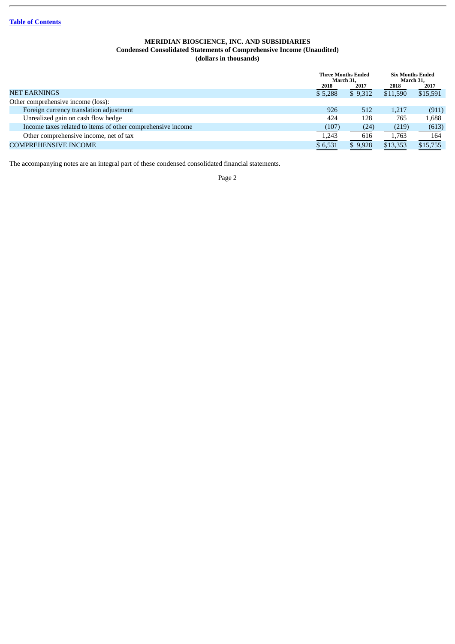## **MERIDIAN BIOSCIENCE, INC. AND SUBSIDIARIES Condensed Consolidated Statements of Comprehensive Income (Unaudited) (dollars in thousands)**

<span id="page-5-0"></span>

|                                                             |         | <b>Three Months Ended</b><br>March 31, |          | <b>Six Months Ended</b><br>March 31, |
|-------------------------------------------------------------|---------|----------------------------------------|----------|--------------------------------------|
|                                                             | 2018    | 2017                                   | 2018     | 2017                                 |
| <b>NET EARNINGS</b>                                         | \$5.288 | \$9.312                                | \$11,590 | \$15,591                             |
| Other comprehensive income (loss):                          |         |                                        |          |                                      |
| Foreign currency translation adjustment                     | 926     | 512                                    | 1.217    | (911)                                |
| Unrealized gain on cash flow hedge                          | 424     | 128                                    | 765      | 1,688                                |
| Income taxes related to items of other comprehensive income | (107)   | (24)                                   | (219)    | (613)                                |
| Other comprehensive income, net of tax                      | 1,243   | 616                                    | 1,763    | 164                                  |
| <b>COMPREHENSIVE INCOME</b>                                 | \$6,531 | \$9,928                                | \$13,353 | \$15,755                             |
|                                                             |         |                                        |          |                                      |

The accompanying notes are an integral part of these condensed consolidated financial statements.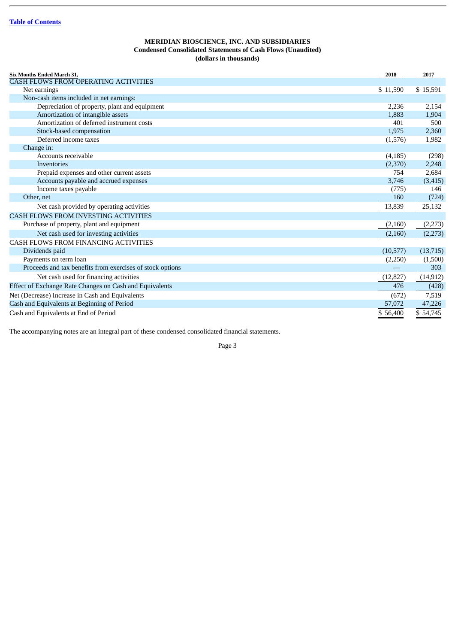## **MERIDIAN BIOSCIENCE, INC. AND SUBSIDIARIES Condensed Consolidated Statements of Cash Flows (Unaudited) (dollars in thousands)**

<span id="page-6-0"></span>

| <b>Six Months Ended March 31.</b>                         | 2018      | 2017      |
|-----------------------------------------------------------|-----------|-----------|
| <b>CASH FLOWS FROM OPERATING ACTIVITIES</b>               |           |           |
| Net earnings                                              | \$11,590  | \$15,591  |
| Non-cash items included in net earnings:                  |           |           |
| Depreciation of property, plant and equipment             | 2,236     | 2,154     |
| Amortization of intangible assets                         | 1,883     | 1,904     |
| Amortization of deferred instrument costs                 | 401       | 500       |
| Stock-based compensation                                  | 1,975     | 2,360     |
| Deferred income taxes                                     | (1,576)   | 1,982     |
| Change in:                                                |           |           |
| Accounts receivable                                       | (4, 185)  | (298)     |
| <b>Inventories</b>                                        | (2,370)   | 2,248     |
| Prepaid expenses and other current assets                 | 754       | 2,684     |
| Accounts payable and accrued expenses                     | 3,746     | (3, 415)  |
| Income taxes payable                                      | (775)     | 146       |
| Other, net                                                | 160       | (724)     |
| Net cash provided by operating activities                 | 13,839    | 25,132    |
| <b>CASH FLOWS FROM INVESTING ACTIVITIES</b>               |           |           |
| Purchase of property, plant and equipment                 | (2,160)   | (2, 273)  |
| Net cash used for investing activities                    | (2,160)   | (2,273)   |
| CASH FLOWS FROM FINANCING ACTIVITIES                      |           |           |
| Dividends paid                                            | (10,577)  | (13, 715) |
| Payments on term loan                                     | (2,250)   | (1,500)   |
| Proceeds and tax benefits from exercises of stock options |           | 303       |
| Net cash used for financing activities                    | (12, 827) | (14, 912) |
| Effect of Exchange Rate Changes on Cash and Equivalents   | 476       | (428)     |
| Net (Decrease) Increase in Cash and Equivalents           | (672)     | 7,519     |
| Cash and Equivalents at Beginning of Period               | 57,072    | 47,226    |
| Cash and Equivalents at End of Period                     | \$56,400  | \$54,745  |

The accompanying notes are an integral part of these condensed consolidated financial statements.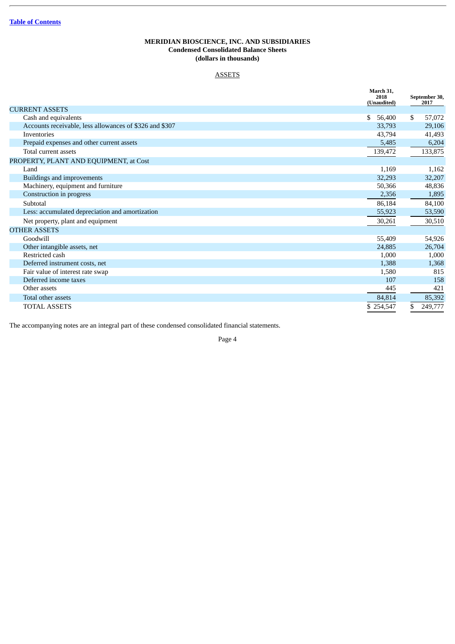## **MERIDIAN BIOSCIENCE, INC. AND SUBSIDIARIES Condensed Consolidated Balance Sheets (dollars in thousands)**

## **ASSETS**

<span id="page-7-0"></span>

|                                                         | March 31,<br>2018<br>(Unaudited) | September 30,<br>2017 |
|---------------------------------------------------------|----------------------------------|-----------------------|
| <b>CURRENT ASSETS</b>                                   |                                  |                       |
| Cash and equivalents                                    | \$<br>56,400                     | \$<br>57,072          |
| Accounts receivable, less allowances of \$326 and \$307 | 33,793                           | 29,106                |
| <b>Inventories</b>                                      | 43,794                           | 41,493                |
| Prepaid expenses and other current assets               | 5,485                            | 6,204                 |
| Total current assets                                    | 139,472                          | 133,875               |
| PROPERTY, PLANT AND EQUIPMENT, at Cost                  |                                  |                       |
| Land                                                    | 1,169                            | 1,162                 |
| <b>Buildings and improvements</b>                       | 32,293                           | 32,207                |
| Machinery, equipment and furniture                      | 50,366                           | 48,836                |
| Construction in progress                                | 2,356                            | 1,895                 |
| Subtotal                                                | 86,184                           | 84,100                |
| Less: accumulated depreciation and amortization         | 55,923                           | 53,590                |
| Net property, plant and equipment                       | 30,261                           | 30,510                |
| <b>OTHER ASSETS</b>                                     |                                  |                       |
| Goodwill                                                | 55,409                           | 54,926                |
| Other intangible assets, net                            | 24,885                           | 26,704                |
| Restricted cash                                         | 1.000                            | 1,000                 |
| Deferred instrument costs, net                          | 1,388                            | 1,368                 |
| Fair value of interest rate swap                        | 1,580                            | 815                   |
| Deferred income taxes                                   | 107                              | 158                   |
| Other assets                                            | 445                              | 421                   |
| Total other assets                                      | 84,814                           | 85,392                |
| <b>TOTAL ASSETS</b>                                     | \$254,547                        | \$<br>249,777         |

The accompanying notes are an integral part of these condensed consolidated financial statements.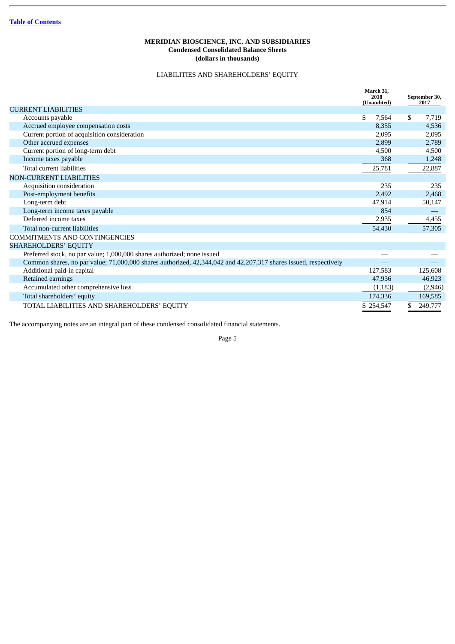## **MERIDIAN BIOSCIENCE, INC. AND SUBSIDIARIES Condensed Consolidated Balance Sheets (dollars in thousands)**

# LIABILITIES AND SHAREHOLDERS' EQUITY

|                                                                                                                  | March 31.<br>2018<br>(Unaudited) | September 30,<br>2017 |
|------------------------------------------------------------------------------------------------------------------|----------------------------------|-----------------------|
| <b>CURRENT LIABILITIES</b>                                                                                       |                                  |                       |
| Accounts payable                                                                                                 | \$<br>7,564                      | \$<br>7,719           |
| Accrued employee compensation costs                                                                              | 8,355                            | 4,536                 |
| Current portion of acquisition consideration                                                                     | 2,095                            | 2,095                 |
| Other accrued expenses                                                                                           | 2,899                            | 2,789                 |
| Current portion of long-term debt                                                                                | 4,500                            | 4,500                 |
| Income taxes payable                                                                                             | 368                              | 1,248                 |
| Total current liabilities                                                                                        | 25,781                           | 22,887                |
| <b>NON-CURRENT LIABILITIES</b>                                                                                   |                                  |                       |
| Acquisition consideration                                                                                        | 235                              | 235                   |
| Post-employment benefits                                                                                         | 2.492                            | 2,468                 |
| Long-term debt                                                                                                   | 47,914                           | 50,147                |
| Long-term income taxes payable                                                                                   | 854                              |                       |
| Deferred income taxes                                                                                            | 2,935                            | 4,455                 |
| Total non-current liabilities                                                                                    | 54,430                           | 57,305                |
| <b>COMMITMENTS AND CONTINGENCIES</b>                                                                             |                                  |                       |
| <b>SHAREHOLDERS' EQUITY</b>                                                                                      |                                  |                       |
| Preferred stock, no par value; 1,000,000 shares authorized; none issued                                          |                                  |                       |
| Common shares, no par value; 71,000,000 shares authorized, 42,344,042 and 42,207,317 shares issued, respectively |                                  |                       |
| Additional paid-in capital                                                                                       | 127,583                          | 125,608               |
| Retained earnings                                                                                                | 47,936                           | 46,923                |
| Accumulated other comprehensive loss                                                                             | (1, 183)                         | (2,946)               |
| Total shareholders' equity                                                                                       | 174,336                          | 169,585               |
| TOTAL LIABILITIES AND SHAREHOLDERS' EQUITY                                                                       | \$254,547                        | 249,777               |

The accompanying notes are an integral part of these condensed consolidated financial statements.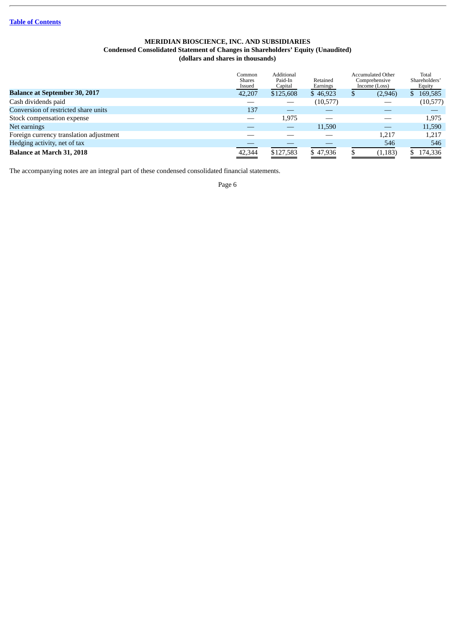## **MERIDIAN BIOSCIENCE, INC. AND SUBSIDIARIES Condensed Consolidated Statement of Changes in Shareholders' Equity (Unaudited) (dollars and shares in thousands)**

<span id="page-9-0"></span>

|                                         | Common<br><b>Shares</b> | Additional<br>Paid-In | Retained  | <b>Accumulated Other</b>       |          | Total                   |
|-----------------------------------------|-------------------------|-----------------------|-----------|--------------------------------|----------|-------------------------|
|                                         | <b>Issued</b>           | Capital               | Earnings  | Comprehensive<br>Income (Loss) |          | Shareholders'<br>Equity |
| <b>Balance at September 30, 2017</b>    | 42,207                  | \$125,608             | \$46,923  |                                | (2,946)  | 169,585                 |
| Cash dividends paid                     |                         |                       | (10, 577) |                                |          | (10, 577)               |
| Conversion of restricted share units    | 137                     |                       |           |                                |          |                         |
| Stock compensation expense              |                         | 1,975                 |           |                                |          | 1,975                   |
| Net earnings                            |                         |                       | 11,590    |                                |          | 11,590                  |
| Foreign currency translation adjustment |                         |                       |           |                                | 1.217    | 1,217                   |
| Hedging activity, net of tax            |                         |                       |           |                                | 546      | 546                     |
| <b>Balance at March 31, 2018</b>        | 42,344                  | \$127,583             | \$47,936  |                                | (1, 183) | 174,336                 |

The accompanying notes are an integral part of these condensed consolidated financial statements.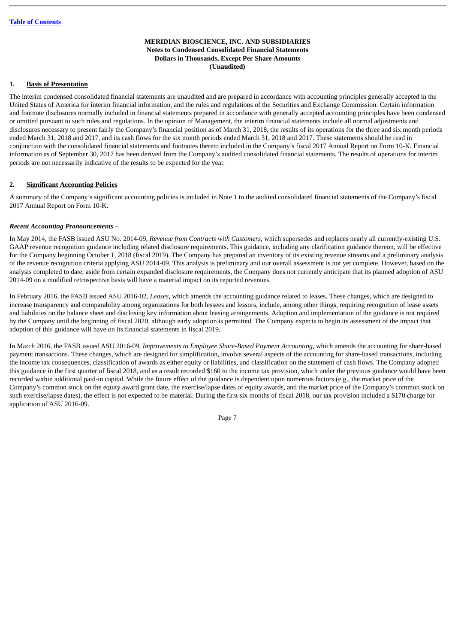## **MERIDIAN BIOSCIENCE, INC. AND SUBSIDIARIES Notes to Condensed Consolidated Financial Statements Dollars in Thousands, Except Per Share Amounts (Unaudited)**

#### <span id="page-10-0"></span>**1. Basis of Presentation**

The interim condensed consolidated financial statements are unaudited and are prepared in accordance with accounting principles generally accepted in the United States of America for interim financial information, and the rules and regulations of the Securities and Exchange Commission. Certain information and footnote disclosures normally included in financial statements prepared in accordance with generally accepted accounting principles have been condensed or omitted pursuant to such rules and regulations. In the opinion of Management, the interim financial statements include all normal adjustments and disclosures necessary to present fairly the Company's financial position as of March 31, 2018, the results of its operations for the three and six month periods ended March 31, 2018 and 2017, and its cash flows for the six month periods ended March 31, 2018 and 2017. These statements should be read in conjunction with the consolidated financial statements and footnotes thereto included in the Company's fiscal 2017 Annual Report on Form 10-K. Financial information as of September 30, 2017 has been derived from the Company's audited consolidated financial statements. The results of operations for interim periods are not necessarily indicative of the results to be expected for the year.

#### **2. Significant Accounting Policies**

A summary of the Company's significant accounting policies is included in Note 1 to the audited consolidated financial statements of the Company's fiscal 2017 Annual Report on Form 10-K.

#### *Recent Accounting Pronouncements –*

In May 2014, the FASB issued ASU No. 2014-09, *Revenue from Contracts with Customers*, which supersedes and replaces nearly all currently-existing U.S. GAAP revenue recognition guidance including related disclosure requirements. This guidance, including any clarification guidance thereon, will be effective for the Company beginning October 1, 2018 (fiscal 2019). The Company has prepared an inventory of its existing revenue streams and a preliminary analysis of the revenue recognition criteria applying ASU 2014-09. This analysis is preliminary and our overall assessment is not yet complete. However, based on the analysis completed to date, aside from certain expanded disclosure requirements, the Company does not currently anticipate that its planned adoption of ASU 2014-09 on a modified retrospective basis will have a material impact on its reported revenues.

In February 2016, the FASB issued ASU 2016-02, *Leases*, which amends the accounting guidance related to leases. These changes, which are designed to increase transparency and comparability among organizations for both lessees and lessors, include, among other things, requiring recognition of lease assets and liabilities on the balance sheet and disclosing key information about leasing arrangements. Adoption and implementation of the guidance is not required by the Company until the beginning of fiscal 2020, although early adoption is permitted. The Company expects to begin its assessment of the impact that adoption of this guidance will have on its financial statements in fiscal 2019.

In March 2016, the FASB issued ASU 2016-09, *Improvements to Employee Share-Based Payment Accounting*, which amends the accounting for share-based payment transactions. These changes, which are designed for simplification, involve several aspects of the accounting for share-based transactions, including the income tax consequences, classification of awards as either equity or liabilities, and classification on the statement of cash flows. The Company adopted this guidance in the first quarter of fiscal 2018, and as a result recorded \$160 to the income tax provision, which under the previous guidance would have been recorded within additional paid-in capital. While the future effect of the guidance is dependent upon numerous factors (e.g., the market price of the Company's common stock on the equity award grant date, the exercise/lapse dates of equity awards, and the market price of the Company's common stock on such exercise/lapse dates), the effect is not expected to be material. During the first six months of fiscal 2018, our tax provision included a \$170 charge for application of ASU 2016-09.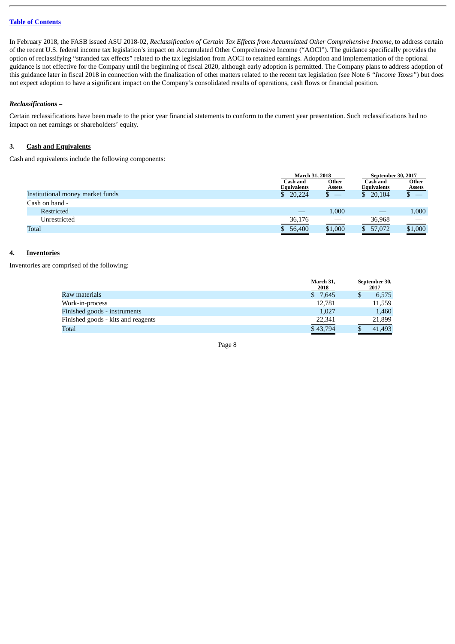In February 2018, the FASB issued ASU 2018-02, *Reclassification of Certain Tax Effects from Accumulated Other Comprehensive Income*, to address certain of the recent U.S. federal income tax legislation's impact on Accumulated Other Comprehensive Income ("AOCI"). The guidance specifically provides the option of reclassifying "stranded tax effects" related to the tax legislation from AOCI to retained earnings. Adoption and implementation of the optional guidance is not effective for the Company until the beginning of fiscal 2020, although early adoption is permitted. The Company plans to address adoption of this guidance later in fiscal 2018 in connection with the finalization of other matters related to the recent tax legislation (see Note 6 *"Income Taxes"*) but does not expect adoption to have a significant impact on the Company's consolidated results of operations, cash flows or financial position.

## *Reclassifications –*

Certain reclassifications have been made to the prior year financial statements to conform to the current year presentation. Such reclassifications had no impact on net earnings or shareholders' equity.

#### **3. Cash and Equivalents**

Cash and equivalents include the following components:

|                                  | <b>March 31, 2018</b>                                                                                                             |                        | September 30, 2017                    |                                                                                                                                  |  |
|----------------------------------|-----------------------------------------------------------------------------------------------------------------------------------|------------------------|---------------------------------------|----------------------------------------------------------------------------------------------------------------------------------|--|
|                                  | Cash and<br><b>Equivalents</b>                                                                                                    | Other<br><b>Assets</b> | <b>Cash and</b><br><b>Equivalents</b> | Other<br><b>Assets</b>                                                                                                           |  |
| Institutional money market funds | \$20,224                                                                                                                          |                        | \$20,104                              |                                                                                                                                  |  |
| Cash on hand -                   |                                                                                                                                   |                        |                                       |                                                                                                                                  |  |
| Restricted                       |                                                                                                                                   | 1,000                  |                                       | 1,000                                                                                                                            |  |
| Unrestricted                     | 36,176                                                                                                                            |                        | 36,968                                |                                                                                                                                  |  |
| Total                            | \$56,400<br><u> Tanzania de la contenentación de la contenentación de la contenentación de la contenentación de la contenenta</u> | \$1,000                | \$57,072                              | \$1,000<br><u> e de la provincia de la provincia de la provincia de la provincia de la provincia de la provincia de la provi</u> |  |

#### **4. Inventories**

Inventories are comprised of the following:

|                                    | March 31,<br>2018 | September 30,<br>2017 |
|------------------------------------|-------------------|-----------------------|
| Raw materials                      | \$7.645           | 6.575                 |
| Work-in-process                    | 12.781            | 11,559                |
| Finished goods - instruments       | 1,027             | 1,460                 |
| Finished goods - kits and reagents | 22,341            | 21,899                |
| <b>Total</b>                       | \$43,794          | 41.493                |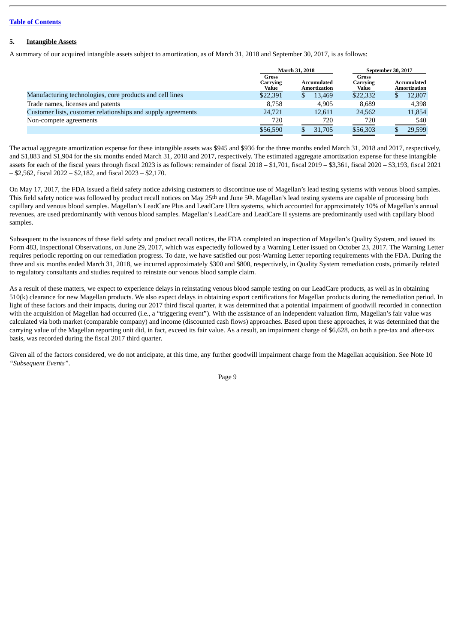#### **5. Intangible Assets**

A summary of our acquired intangible assets subject to amortization, as of March 31, 2018 and September 30, 2017, is as follows:

|                                                              | <b>March 31, 2018</b>      |                             |                            | September 30, 2017                 |
|--------------------------------------------------------------|----------------------------|-----------------------------|----------------------------|------------------------------------|
|                                                              | Gross<br>Carrying<br>Value | Accumulated<br>Amortization | Gross<br>Carrying<br>Value | Accumulated<br><b>Amortization</b> |
| Manufacturing technologies, core products and cell lines     | \$22,391                   | 13,469                      | \$22,332                   | 12,807                             |
| Trade names, licenses and patents                            | 8.758                      | 4.905                       | 8.689                      | 4.398                              |
| Customer lists, customer relationships and supply agreements | 24.721                     | 12,611                      | 24.562                     | 11,854                             |
| Non-compete agreements                                       | 720                        | 720                         | 720                        | 540                                |
|                                                              | \$56,590                   | 31,705                      | \$56,303                   | 29,599                             |

The actual aggregate amortization expense for these intangible assets was \$945 and \$936 for the three months ended March 31, 2018 and 2017, respectively, and \$1,883 and \$1,904 for the six months ended March 31, 2018 and 2017, respectively. The estimated aggregate amortization expense for these intangible assets for each of the fiscal years through fiscal 2023 is as follows: remainder of fiscal 2018 – \$1,701, fiscal 2019 – \$3,361, fiscal 2020 – \$3,193, fiscal 2021 – \$2,562, fiscal 2022 – \$2,182, and fiscal 2023 – \$2,170.

On May 17, 2017, the FDA issued a field safety notice advising customers to discontinue use of Magellan's lead testing systems with venous blood samples. This field safety notice was followed by product recall notices on May 25<sup>th</sup> and June 5<sup>th</sup>. Magellan's lead testing systems are capable of processing both capillary and venous blood samples. Magellan's LeadCare Plus and LeadCare Ultra systems, which accounted for approximately 10% of Magellan's annual revenues, are used predominantly with venous blood samples. Magellan's LeadCare and LeadCare II systems are predominantly used with capillary blood samples.

Subsequent to the issuances of these field safety and product recall notices, the FDA completed an inspection of Magellan's Quality System, and issued its Form 483, Inspectional Observations, on June 29, 2017, which was expectedly followed by a Warning Letter issued on October 23, 2017. The Warning Letter requires periodic reporting on our remediation progress. To date, we have satisfied our post-Warning Letter reporting requirements with the FDA. During the three and six months ended March 31, 2018, we incurred approximately \$300 and \$800, respectively, in Quality System remediation costs, primarily related to regulatory consultants and studies required to reinstate our venous blood sample claim.

As a result of these matters, we expect to experience delays in reinstating venous blood sample testing on our LeadCare products, as well as in obtaining 510(k) clearance for new Magellan products. We also expect delays in obtaining export certifications for Magellan products during the remediation period. In light of these factors and their impacts, during our 2017 third fiscal quarter, it was determined that a potential impairment of goodwill recorded in connection with the acquisition of Magellan had occurred (i.e., a "triggering event"). With the assistance of an independent valuation firm, Magellan's fair value was calculated via both market (comparable company) and income (discounted cash flows) approaches. Based upon these approaches, it was determined that the carrying value of the Magellan reporting unit did, in fact, exceed its fair value. As a result, an impairment charge of \$6,628, on both a pre-tax and after-tax basis, was recorded during the fiscal 2017 third quarter.

Given all of the factors considered, we do not anticipate, at this time, any further goodwill impairment charge from the Magellan acquisition. See Note 10 *"Subsequent Events"*.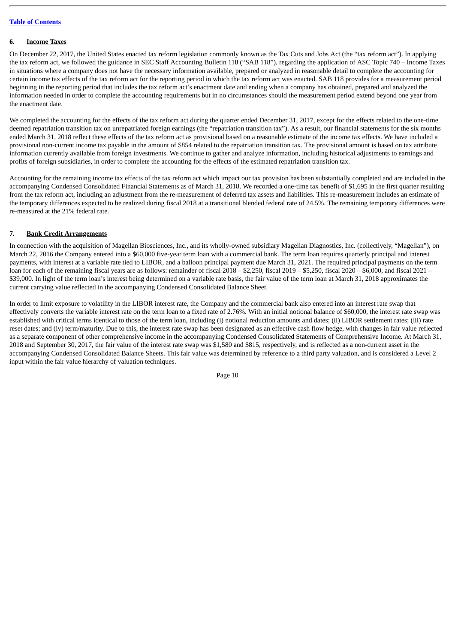#### **6. Income Taxes**

On December 22, 2017, the United States enacted tax reform legislation commonly known as the Tax Cuts and Jobs Act (the "tax reform act"). In applying the tax reform act, we followed the guidance in SEC Staff Accounting Bulletin 118 ("SAB 118"), regarding the application of ASC Topic 740 – Income Taxes in situations where a company does not have the necessary information available, prepared or analyzed in reasonable detail to complete the accounting for certain income tax effects of the tax reform act for the reporting period in which the tax reform act was enacted. SAB 118 provides for a measurement period beginning in the reporting period that includes the tax reform act's enactment date and ending when a company has obtained, prepared and analyzed the information needed in order to complete the accounting requirements but in no circumstances should the measurement period extend beyond one year from the enactment date.

We completed the accounting for the effects of the tax reform act during the quarter ended December 31, 2017, except for the effects related to the one-time deemed repatriation transition tax on unrepatriated foreign earnings (the "repatriation transition tax"). As a result, our financial statements for the six months ended March 31, 2018 reflect these effects of the tax reform act as provisional based on a reasonable estimate of the income tax effects. We have included a provisional non-current income tax payable in the amount of \$854 related to the repatriation transition tax. The provisional amount is based on tax attribute information currently available from foreign investments. We continue to gather and analyze information, including historical adjustments to earnings and profits of foreign subsidiaries, in order to complete the accounting for the effects of the estimated repatriation transition tax.

Accounting for the remaining income tax effects of the tax reform act which impact our tax provision has been substantially completed and are included in the accompanying Condensed Consolidated Financial Statements as of March 31, 2018. We recorded a one-time tax benefit of \$1,695 in the first quarter resulting from the tax reform act, including an adjustment from the re-measurement of deferred tax assets and liabilities. This re-measurement includes an estimate of the temporary differences expected to be realized during fiscal 2018 at a transitional blended federal rate of 24.5%. The remaining temporary differences were re-measured at the 21% federal rate.

#### **7. Bank Credit Arrangements**

In connection with the acquisition of Magellan Biosciences, Inc., and its wholly-owned subsidiary Magellan Diagnostics, Inc. (collectively, "Magellan"), on March 22, 2016 the Company entered into a \$60,000 five-year term loan with a commercial bank. The term loan requires quarterly principal and interest payments, with interest at a variable rate tied to LIBOR, and a balloon principal payment due March 31, 2021. The required principal payments on the term loan for each of the remaining fiscal years are as follows: remainder of fiscal 2018 – \$2,250, fiscal 2019 – \$5,250, fiscal 2020 – \$6,000, and fiscal 2021 – \$39,000. In light of the term loan's interest being determined on a variable rate basis, the fair value of the term loan at March 31, 2018 approximates the current carrying value reflected in the accompanying Condensed Consolidated Balance Sheet.

In order to limit exposure to volatility in the LIBOR interest rate, the Company and the commercial bank also entered into an interest rate swap that effectively converts the variable interest rate on the term loan to a fixed rate of 2.76%. With an initial notional balance of \$60,000, the interest rate swap was established with critical terms identical to those of the term loan, including (i) notional reduction amounts and dates; (ii) LIBOR settlement rates; (iii) rate reset dates; and (iv) term/maturity. Due to this, the interest rate swap has been designated as an effective cash flow hedge, with changes in fair value reflected as a separate component of other comprehensive income in the accompanying Condensed Consolidated Statements of Comprehensive Income. At March 31, 2018 and September 30, 2017, the fair value of the interest rate swap was \$1,580 and \$815, respectively, and is reflected as a non-current asset in the accompanying Condensed Consolidated Balance Sheets. This fair value was determined by reference to a third party valuation, and is considered a Level 2 input within the fair value hierarchy of valuation techniques.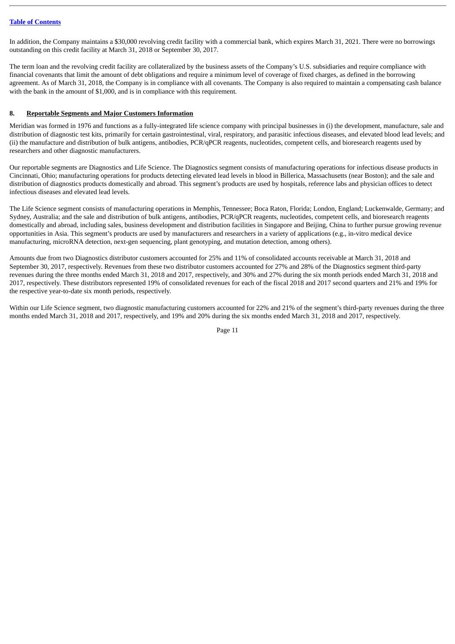In addition, the Company maintains a \$30,000 revolving credit facility with a commercial bank, which expires March 31, 2021. There were no borrowings outstanding on this credit facility at March 31, 2018 or September 30, 2017.

The term loan and the revolving credit facility are collateralized by the business assets of the Company's U.S. subsidiaries and require compliance with financial covenants that limit the amount of debt obligations and require a minimum level of coverage of fixed charges, as defined in the borrowing agreement. As of March 31, 2018, the Company is in compliance with all covenants. The Company is also required to maintain a compensating cash balance with the bank in the amount of \$1,000, and is in compliance with this requirement.

#### **8. Reportable Segments and Major Customers Information**

Meridian was formed in 1976 and functions as a fully-integrated life science company with principal businesses in (i) the development, manufacture, sale and distribution of diagnostic test kits, primarily for certain gastrointestinal, viral, respiratory, and parasitic infectious diseases, and elevated blood lead levels; and (ii) the manufacture and distribution of bulk antigens, antibodies, PCR/qPCR reagents, nucleotides, competent cells, and bioresearch reagents used by researchers and other diagnostic manufacturers.

Our reportable segments are Diagnostics and Life Science. The Diagnostics segment consists of manufacturing operations for infectious disease products in Cincinnati, Ohio; manufacturing operations for products detecting elevated lead levels in blood in Billerica, Massachusetts (near Boston); and the sale and distribution of diagnostics products domestically and abroad. This segment's products are used by hospitals, reference labs and physician offices to detect infectious diseases and elevated lead levels.

The Life Science segment consists of manufacturing operations in Memphis, Tennessee; Boca Raton, Florida; London, England; Luckenwalde, Germany; and Sydney, Australia; and the sale and distribution of bulk antigens, antibodies, PCR/qPCR reagents, nucleotides, competent cells, and bioresearch reagents domestically and abroad, including sales, business development and distribution facilities in Singapore and Beijing, China to further pursue growing revenue opportunities in Asia. This segment's products are used by manufacturers and researchers in a variety of applications (e.g., in-vitro medical device manufacturing, microRNA detection, next-gen sequencing, plant genotyping, and mutation detection, among others).

Amounts due from two Diagnostics distributor customers accounted for 25% and 11% of consolidated accounts receivable at March 31, 2018 and September 30, 2017, respectively. Revenues from these two distributor customers accounted for 27% and 28% of the Diagnostics segment third-party revenues during the three months ended March 31, 2018 and 2017, respectively, and 30% and 27% during the six month periods ended March 31, 2018 and 2017, respectively. These distributors represented 19% of consolidated revenues for each of the fiscal 2018 and 2017 second quarters and 21% and 19% for the respective year-to-date six month periods, respectively.

Within our Life Science segment, two diagnostic manufacturing customers accounted for 22% and 21% of the segment's third-party revenues during the three months ended March 31, 2018 and 2017, respectively, and 19% and 20% during the six months ended March 31, 2018 and 2017, respectively.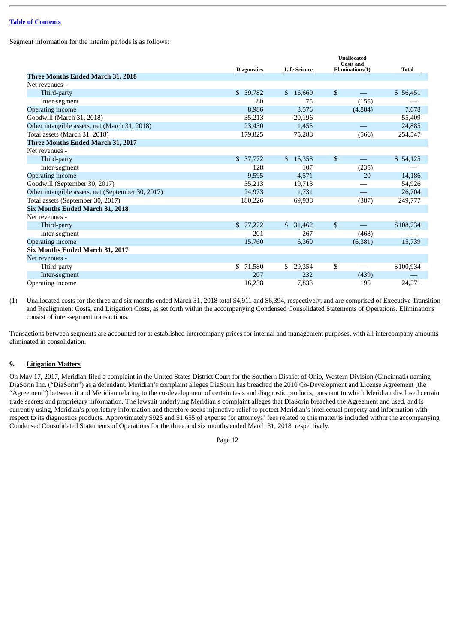Segment information for the interim periods is as follows:

|                                                   | <b>Diagnostics</b>     | <b>Life Science</b>    | <b>Unallocated</b><br>Costs and<br>Eliminations(1) | <b>Total</b> |
|---------------------------------------------------|------------------------|------------------------|----------------------------------------------------|--------------|
| Three Months Ended March 31, 2018                 |                        |                        |                                                    |              |
| Net revenues -                                    |                        |                        |                                                    |              |
| Third-party                                       | \$<br>39,782           | $\mathbf{s}$<br>16,669 | \$                                                 | \$56,451     |
| Inter-segment                                     | 80                     | 75                     | (155)                                              |              |
| Operating income                                  | 8,986                  | 3,576                  | (4,884)                                            | 7,678        |
| Goodwill (March 31, 2018)                         | 35,213                 | 20,196                 |                                                    | 55,409       |
| Other intangible assets, net (March 31, 2018)     | 23,430                 | 1,455                  |                                                    | 24,885       |
| Total assets (March 31, 2018)                     | 179,825                | 75,288                 | (566)                                              | 254,547      |
| Three Months Ended March 31, 2017                 |                        |                        |                                                    |              |
| Net revenues -                                    |                        |                        |                                                    |              |
| Third-party                                       | $\mathbb{S}$<br>37,772 | 16,353<br>\$.          | \$                                                 | \$54,125     |
| Inter-segment                                     | 128                    | 107                    | (235)                                              |              |
| Operating income                                  | 9,595                  | 4,571                  | 20                                                 | 14,186       |
| Goodwill (September 30, 2017)                     | 35,213                 | 19,713                 |                                                    | 54,926       |
| Other intangible assets, net (September 30, 2017) | 24,973                 | 1,731                  |                                                    | 26,704       |
| Total assets (September 30, 2017)                 | 180,226                | 69,938                 | (387)                                              | 249,777      |
| <b>Six Months Ended March 31, 2018</b>            |                        |                        |                                                    |              |
| Net revenues -                                    |                        |                        |                                                    |              |
| Third-party                                       | \$.<br>77,272          | \$31,462               | \$                                                 | \$108,734    |
| Inter-segment                                     | 201                    | 267                    | (468)                                              |              |
| Operating income                                  | 15,760                 | 6,360                  | (6,381)                                            | 15,739       |
| Six Months Ended March 31, 2017                   |                        |                        |                                                    |              |
| Net revenues -                                    |                        |                        |                                                    |              |
| Third-party                                       | \$<br>71,580           | 29,354<br>\$.          | \$                                                 | \$100,934    |
| Inter-segment                                     | 207                    | 232                    | (439)                                              |              |
| Operating income                                  | 16,238                 | 7,838                  | 195                                                | 24,271       |

(1) Unallocated costs for the three and six months ended March 31, 2018 total \$4,911 and \$6,394, respectively, and are comprised of Executive Transition and Realignment Costs, and Litigation Costs, as set forth within the accompanying Condensed Consolidated Statements of Operations. Eliminations consist of inter-segment transactions.

Transactions between segments are accounted for at established intercompany prices for internal and management purposes, with all intercompany amounts eliminated in consolidation.

#### **9. Litigation Matters**

On May 17, 2017, Meridian filed a complaint in the United States District Court for the Southern District of Ohio, Western Division (Cincinnati) naming DiaSorin Inc. ("DiaSorin") as a defendant. Meridian's complaint alleges DiaSorin has breached the 2010 Co-Development and License Agreement (the "Agreement") between it and Meridian relating to the co-development of certain tests and diagnostic products, pursuant to which Meridian disclosed certain trade secrets and proprietary information. The lawsuit underlying Meridian's complaint alleges that DiaSorin breached the Agreement and used, and is currently using, Meridian's proprietary information and therefore seeks injunctive relief to protect Meridian's intellectual property and information with respect to its diagnostics products. Approximately \$925 and \$1,655 of expense for attorneys' fees related to this matter is included within the accompanying Condensed Consolidated Statements of Operations for the three and six months ended March 31, 2018, respectively.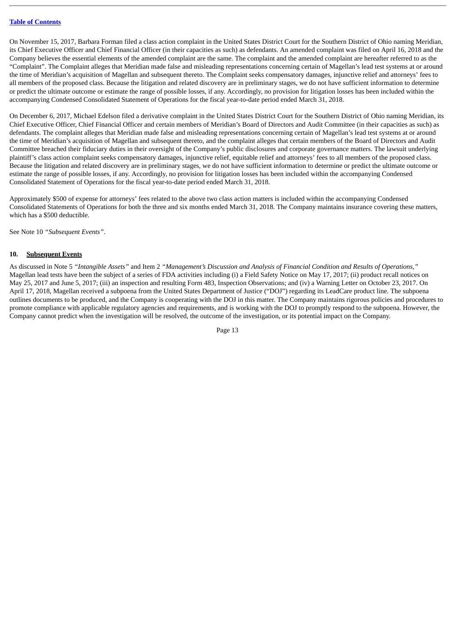On November 15, 2017, Barbara Forman filed a class action complaint in the United States District Court for the Southern District of Ohio naming Meridian, its Chief Executive Officer and Chief Financial Officer (in their capacities as such) as defendants. An amended complaint was filed on April 16, 2018 and the Company believes the essential elements of the amended complaint are the same. The complaint and the amended complaint are hereafter referred to as the "Complaint". The Complaint alleges that Meridian made false and misleading representations concerning certain of Magellan's lead test systems at or around the time of Meridian's acquisition of Magellan and subsequent thereto. The Complaint seeks compensatory damages, injunctive relief and attorneys' fees to all members of the proposed class. Because the litigation and related discovery are in preliminary stages, we do not have sufficient information to determine or predict the ultimate outcome or estimate the range of possible losses, if any. Accordingly, no provision for litigation losses has been included within the accompanying Condensed Consolidated Statement of Operations for the fiscal year-to-date period ended March 31, 2018.

On December 6, 2017, Michael Edelson filed a derivative complaint in the United States District Court for the Southern District of Ohio naming Meridian, its Chief Executive Officer, Chief Financial Officer and certain members of Meridian's Board of Directors and Audit Committee (in their capacities as such) as defendants. The complaint alleges that Meridian made false and misleading representations concerning certain of Magellan's lead test systems at or around the time of Meridian's acquisition of Magellan and subsequent thereto, and the complaint alleges that certain members of the Board of Directors and Audit Committee breached their fiduciary duties in their oversight of the Company's public disclosures and corporate governance matters. The lawsuit underlying plaintiff's class action complaint seeks compensatory damages, injunctive relief, equitable relief and attorneys' fees to all members of the proposed class. Because the litigation and related discovery are in preliminary stages, we do not have sufficient information to determine or predict the ultimate outcome or estimate the range of possible losses, if any. Accordingly, no provision for litigation losses has been included within the accompanying Condensed Consolidated Statement of Operations for the fiscal year-to-date period ended March 31, 2018.

Approximately \$500 of expense for attorneys' fees related to the above two class action matters is included within the accompanying Condensed Consolidated Statements of Operations for both the three and six months ended March 31, 2018. The Company maintains insurance covering these matters, which has a \$500 deductible.

See Note 10 *"Subsequent Events"*.

#### **10. Subsequent Events**

As discussed in Note 5 "Intangible Assets" and Item 2 "Management's Discussion and Analysis of Financial Condition and Results of Operations," Magellan lead tests have been the subject of a series of FDA activities including (i) a Field Safety Notice on May 17, 2017; (ii) product recall notices on May 25, 2017 and June 5, 2017; (iii) an inspection and resulting Form 483, Inspection Observations; and (iv) a Warning Letter on October 23, 2017. On April 17, 2018, Magellan received a subpoena from the United States Department of Justice ("DOJ") regarding its LeadCare product line. The subpoena outlines documents to be produced, and the Company is cooperating with the DOJ in this matter. The Company maintains rigorous policies and procedures to promote compliance with applicable regulatory agencies and requirements, and is working with the DOJ to promptly respond to the subpoena. However, the Company cannot predict when the investigation will be resolved, the outcome of the investigation, or its potential impact on the Company.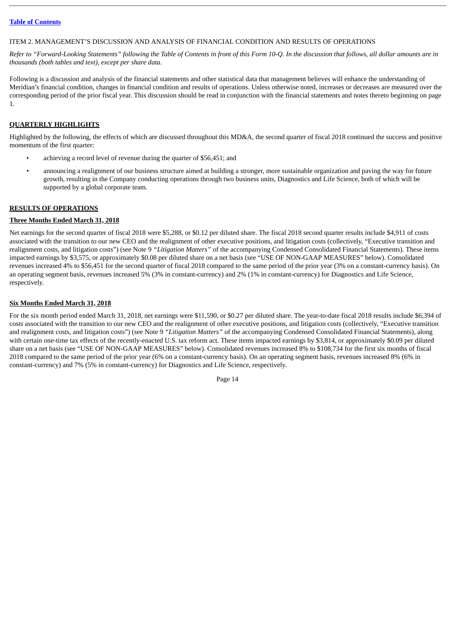#### <span id="page-17-0"></span>ITEM 2. MANAGEMENT'S DISCUSSION AND ANALYSIS OF FINANCIAL CONDITION AND RESULTS OF OPERATIONS

Refer to "Forward-Looking Statements" following the Table of Contents in front of this Form 10-Q. In the discussion that follows, all dollar amounts are in *thousands (both tables and text), except per share data.*

Following is a discussion and analysis of the financial statements and other statistical data that management believes will enhance the understanding of Meridian's financial condition, changes in financial condition and results of operations. Unless otherwise noted, increases or decreases are measured over the corresponding period of the prior fiscal year. This discussion should be read in conjunction with the financial statements and notes thereto beginning on page 1.

## **QUARTERLY HIGHLIGHTS**

Highlighted by the following, the effects of which are discussed throughout this MD&A, the second quarter of fiscal 2018 continued the success and positive momentum of the first quarter:

- achieving a record level of revenue during the quarter of \$56,451; and
- announcing a realignment of our business structure aimed at building a stronger, more sustainable organization and paving the way for future growth, resulting in the Company conducting operations through two business units, Diagnostics and Life Science, both of which will be supported by a global corporate team.

#### **RESULTS OF OPERATIONS**

#### **Three Months Ended March 31, 2018**

Net earnings for the second quarter of fiscal 2018 were \$5,288, or \$0.12 per diluted share. The fiscal 2018 second quarter results include \$4,911 of costs associated with the transition to our new CEO and the realignment of other executive positions, and litigation costs (collectively, "Executive transition and realignment costs, and litigation costs") (see Note 9 *"Litigation Matters"* of the accompanying Condensed Consolidated Financial Statements). These items impacted earnings by \$3,575, or approximately \$0.08 per diluted share on a net basis (see "USE OF NON-GAAP MEASURES" below). Consolidated revenues increased 4% to \$56,451 for the second quarter of fiscal 2018 compared to the same period of the prior year (3% on a constant-currency basis). On an operating segment basis, revenues increased 5% (3% in constant-currency) and 2% (1% in constant-currency) for Diagnostics and Life Science, respectively.

#### **Six Months Ended March 31, 2018**

For the six month period ended March 31, 2018, net earnings were \$11,590, or \$0.27 per diluted share. The year-to-date fiscal 2018 results include \$6,394 of costs associated with the transition to our new CEO and the realignment of other executive positions, and litigation costs (collectively, "Executive transition and realignment costs, and litigation costs") (see Note 9 *"Litigation Matters"* of the accompanying Condensed Consolidated Financial Statements), along with certain one-time tax effects of the recently-enacted U.S. tax reform act. These items impacted earnings by \$3,814, or approximately \$0.09 per diluted share on a net basis (see "USE OF NON-GAAP MEASURES" below). Consolidated revenues increased 8% to \$108,734 for the first six months of fiscal 2018 compared to the same period of the prior year (6% on a constant-currency basis). On an operating segment basis, revenues increased 8% (6% in constant-currency) and 7% (5% in constant-currency) for Diagnostics and Life Science, respectively.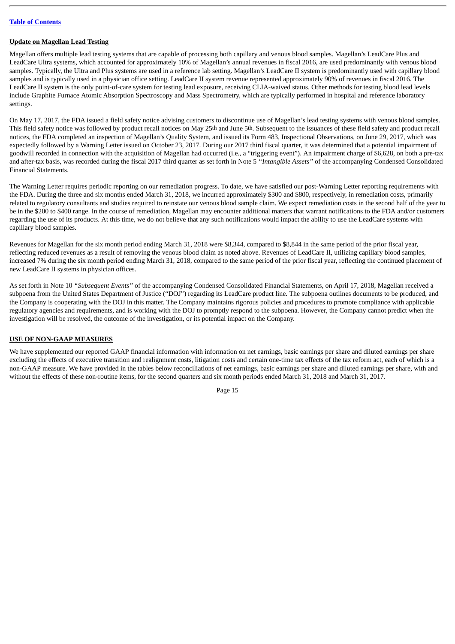## **Update on Magellan Lead Testing**

Magellan offers multiple lead testing systems that are capable of processing both capillary and venous blood samples. Magellan's LeadCare Plus and LeadCare Ultra systems, which accounted for approximately 10% of Magellan's annual revenues in fiscal 2016, are used predominantly with venous blood samples. Typically, the Ultra and Plus systems are used in a reference lab setting. Magellan's LeadCare II system is predominantly used with capillary blood samples and is typically used in a physician office setting. LeadCare II system revenue represented approximately 90% of revenues in fiscal 2016. The LeadCare II system is the only point-of-care system for testing lead exposure, receiving CLIA-waived status. Other methods for testing blood lead levels include Graphite Furnace Atomic Absorption Spectroscopy and Mass Spectrometry, which are typically performed in hospital and reference laboratory settings.

On May 17, 2017, the FDA issued a field safety notice advising customers to discontinue use of Magellan's lead testing systems with venous blood samples. This field safety notice was followed by product recall notices on May 25th and June 5th. Subsequent to the issuances of these field safety and product recall notices, the FDA completed an inspection of Magellan's Quality System, and issued its Form 483, Inspectional Observations, on June 29, 2017, which was expectedly followed by a Warning Letter issued on October 23, 2017. During our 2017 third fiscal quarter, it was determined that a potential impairment of goodwill recorded in connection with the acquisition of Magellan had occurred (i.e., a "triggering event"). An impairment charge of \$6,628, on both a pre-tax and after-tax basis, was recorded during the fiscal 2017 third quarter as set forth in Note 5 *"Intangible Assets"* of the accompanying Condensed Consolidated Financial Statements.

The Warning Letter requires periodic reporting on our remediation progress. To date, we have satisfied our post-Warning Letter reporting requirements with the FDA. During the three and six months ended March 31, 2018, we incurred approximately \$300 and \$800, respectively, in remediation costs, primarily related to regulatory consultants and studies required to reinstate our venous blood sample claim. We expect remediation costs in the second half of the year to be in the \$200 to \$400 range. In the course of remediation, Magellan may encounter additional matters that warrant notifications to the FDA and/or customers regarding the use of its products. At this time, we do not believe that any such notifications would impact the ability to use the LeadCare systems with capillary blood samples.

Revenues for Magellan for the six month period ending March 31, 2018 were \$8,344, compared to \$8,844 in the same period of the prior fiscal year, reflecting reduced revenues as a result of removing the venous blood claim as noted above. Revenues of LeadCare II, utilizing capillary blood samples, increased 7% during the six month period ending March 31, 2018, compared to the same period of the prior fiscal year, reflecting the continued placement of new LeadCare II systems in physician offices.

As set forth in Note 10 *"Subsequent Events"* of the accompanying Condensed Consolidated Financial Statements, on April 17, 2018, Magellan received a subpoena from the United States Department of Justice ("DOJ") regarding its LeadCare product line. The subpoena outlines documents to be produced, and the Company is cooperating with the DOJ in this matter. The Company maintains rigorous policies and procedures to promote compliance with applicable regulatory agencies and requirements, and is working with the DOJ to promptly respond to the subpoena. However, the Company cannot predict when the investigation will be resolved, the outcome of the investigation, or its potential impact on the Company.

#### **USE OF NON-GAAP MEASURES**

We have supplemented our reported GAAP financial information with information on net earnings, basic earnings per share and diluted earnings per share excluding the effects of executive transition and realignment costs, litigation costs and certain one-time tax effects of the tax reform act, each of which is a non-GAAP measure. We have provided in the tables below reconciliations of net earnings, basic earnings per share and diluted earnings per share, with and without the effects of these non-routine items, for the second quarters and six month periods ended March 31, 2018 and March 31, 2017.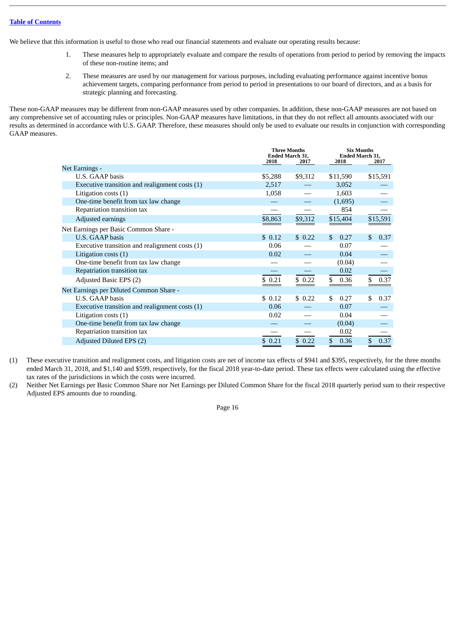We believe that this information is useful to those who read our financial statements and evaluate our operating results because:

- 1. These measures help to appropriately evaluate and compare the results of operations from period to period by removing the impacts of these non-routine items; and
- 2. These measures are used by our management for various purposes, including evaluating performance against incentive bonus achievement targets, comparing performance from period to period in presentations to our board of directors, and as a basis for strategic planning and forecasting.

These non-GAAP measures may be different from non-GAAP measures used by other companies. In addition, these non-GAAP measures are not based on any comprehensive set of accounting rules or principles. Non-GAAP measures have limitations, in that they do not reflect all amounts associated with our results as determined in accordance with U.S. GAAP. Therefore, these measures should only be used to evaluate our results in conjunction with corresponding GAAP measures.

|                                                | <b>Three Months</b> | <b>Ended March 31.</b> | <b>Six Months</b><br><b>Ended March 31.</b> |                       |  |
|------------------------------------------------|---------------------|------------------------|---------------------------------------------|-----------------------|--|
|                                                | 2018                | 2017                   | 2018                                        | 2017                  |  |
| Net Earnings -                                 |                     |                        |                                             |                       |  |
| U.S. GAAP basis                                | \$5,288             | \$9,312                | \$11,590                                    | \$15,591              |  |
| Executive transition and realignment costs (1) | 2,517               |                        | 3,052                                       |                       |  |
| Litigation costs (1)                           | 1,058               |                        | 1,603                                       |                       |  |
| One-time benefit from tax law change           |                     |                        | (1,695)                                     |                       |  |
| Repatriation transition tax                    |                     |                        | 854                                         |                       |  |
| Adjusted earnings                              | \$8,863             | \$9,312                | \$15,404                                    | \$15,591              |  |
| Net Earnings per Basic Common Share -          |                     |                        |                                             |                       |  |
| U.S. GAAP basis                                | \$0.12              | \$0.22                 | $\mathbf{s}$<br>0.27                        | $\mathcal{S}$<br>0.37 |  |
| Executive transition and realignment costs (1) | 0.06                |                        | 0.07                                        |                       |  |
| Litigation costs $(1)$                         | 0.02                |                        | 0.04                                        |                       |  |
| One-time benefit from tax law change           |                     |                        | (0.04)                                      |                       |  |
| Repatriation transition tax                    |                     |                        | 0.02                                        |                       |  |
| Adjusted Basic EPS (2)                         | \$0.21              | \$0.22                 | \$<br>0.36                                  | 0.37                  |  |
| Net Earnings per Diluted Common Share -        |                     |                        |                                             |                       |  |
| <b>U.S. GAAP basis</b>                         | \$<br>0.12          | \$0.22                 | S.<br>0.27                                  | \$<br>0.37            |  |
| Executive transition and realignment costs (1) | 0.06                |                        | 0.07                                        |                       |  |
| Litigation costs (1)                           | 0.02                |                        | 0.04                                        |                       |  |
| One-time benefit from tax law change           |                     |                        | (0.04)                                      |                       |  |
| Repatriation transition tax                    |                     |                        | 0.02                                        |                       |  |
| Adjusted Diluted EPS (2)                       | \$0.21              | \$0.22                 | \$<br>0.36                                  | 0.37<br>\$            |  |

- (1) These executive transition and realignment costs, and litigation costs are net of income tax effects of \$941 and \$395, respectively, for the three months ended March 31, 2018, and \$1,140 and \$599, respectively, for the fiscal 2018 year-to-date period. These tax effects were calculated using the effective tax rates of the jurisdictions in which the costs were incurred.
- (2) Neither Net Earnings per Basic Common Share nor Net Earnings per Diluted Common Share for the fiscal 2018 quarterly period sum to their respective Adjusted EPS amounts due to rounding.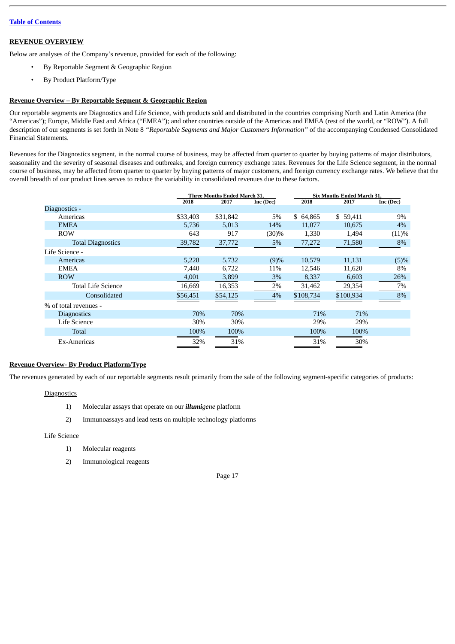## **REVENUE OVERVIEW**

Below are analyses of the Company's revenue, provided for each of the following:

- By Reportable Segment & Geographic Region
- By Product Platform/Type

#### **Revenue Overview – By Reportable Segment & Geographic Region**

Our reportable segments are Diagnostics and Life Science, with products sold and distributed in the countries comprising North and Latin America (the "Americas"); Europe, Middle East and Africa ("EMEA"); and other countries outside of the Americas and EMEA (rest of the world, or "ROW"). A full description of our segments is set forth in Note 8 *"Reportable Segments and Major Customers Information"* of the accompanying Condensed Consolidated Financial Statements.

Revenues for the Diagnostics segment, in the normal course of business, may be affected from quarter to quarter by buying patterns of major distributors, seasonality and the severity of seasonal diseases and outbreaks, and foreign currency exchange rates. Revenues for the Life Science segment, in the normal course of business, may be affected from quarter to quarter by buying patterns of major customers, and foreign currency exchange rates. We believe that the overall breadth of our product lines serves to reduce the variability in consolidated revenues due to these factors.

|                           |          | Three Months Ended March 31, |           |              | <b>Six Months Ended March 31,</b> |           |  |  |
|---------------------------|----------|------------------------------|-----------|--------------|-----------------------------------|-----------|--|--|
|                           | 2018     | 2017                         | Inc (Dec) | 2018         | 2017                              | Inc (Dec) |  |  |
| Diagnostics -             |          |                              |           |              |                                   |           |  |  |
| Americas                  | \$33,403 | \$31,842                     | 5%        | 64,865<br>\$ | \$ 59,411                         | $9\%$     |  |  |
| <b>EMEA</b>               | 5,736    | 5,013                        | 14%       | 11,077       | 10,675                            | 4%        |  |  |
| <b>ROW</b>                | 643      | 917                          | $(30)\%$  | 1,330        | 1,494                             | (11)%     |  |  |
| <b>Total Diagnostics</b>  | 39,782   | 37,772                       | 5%        | 77,272       | 71,580                            | 8%        |  |  |
| Life Science -            |          |                              |           |              |                                   |           |  |  |
| Americas                  | 5,228    | 5,732                        | (9)%      | 10,579       | 11,131                            | (5)%      |  |  |
| <b>EMEA</b>               | 7,440    | 6,722                        | 11%       | 12,546       | 11,620                            | 8%        |  |  |
| <b>ROW</b>                | 4,001    | 3,899                        | 3%        | 8,337        | 6,603                             | 26%       |  |  |
| <b>Total Life Science</b> | 16,669   | 16,353                       | 2%        | 31,462       | 29,354                            | 7%        |  |  |
| Consolidated              | \$56,451 | \$54,125                     | 4%        | \$108,734    | \$100,934                         | 8%        |  |  |
| % of total revenues -     |          |                              |           |              |                                   |           |  |  |
| <b>Diagnostics</b>        | 70%      | 70%                          |           | 71%          | 71%                               |           |  |  |
| Life Science              | 30%      | 30%                          |           | 29%          | 29%                               |           |  |  |
| Total                     | 100%     | 100%                         |           | 100%         | 100%                              |           |  |  |
| Ex-Americas               | 32%      | 31%                          |           | 31%          | 30%                               |           |  |  |

## **Revenue Overview- By Product Platform/Type**

The revenues generated by each of our reportable segments result primarily from the sale of the following segment-specific categories of products:

**Diagnostics** 

- 1) Molecular assays that operate on our *illumigene* platform
- 2) Immunoassays and lead tests on multiple technology platforms

#### Life Science

- 1) Molecular reagents
- 2) Immunological reagents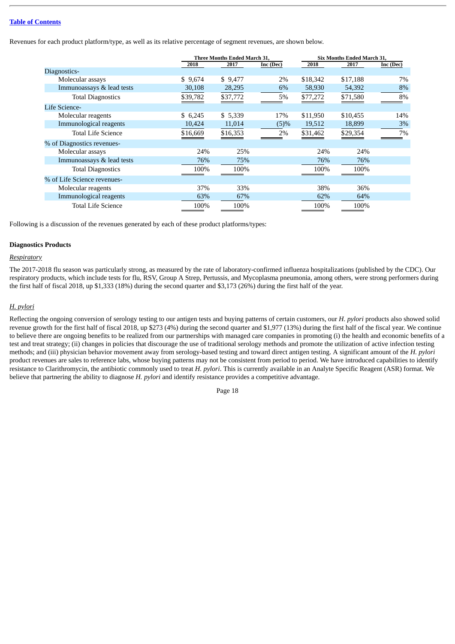Revenues for each product platform/type, as well as its relative percentage of segment revenues, are shown below.

|                             |          | <b>Three Months Ended March 31,</b> |           |          | <b>Six Months Ended March 31,</b> |           |  |  |
|-----------------------------|----------|-------------------------------------|-----------|----------|-----------------------------------|-----------|--|--|
|                             | 2018     | 2017                                | Inc (Dec) | 2018     | 2017                              | Inc (Dec) |  |  |
| Diagnostics-                |          |                                     |           |          |                                   |           |  |  |
| Molecular assays            | \$9,674  | \$9,477                             | 2%        | \$18,342 | \$17,188                          | 7%        |  |  |
| Immunoassays & lead tests   | 30,108   | 28,295                              | 6%        | 58,930   | 54,392                            | 8%        |  |  |
| <b>Total Diagnostics</b>    | \$39,782 | \$37,772                            | 5%        | \$77,272 | \$71,580                          | 8%        |  |  |
| Life Science-               |          |                                     |           |          |                                   |           |  |  |
| Molecular reagents          | \$6,245  | \$ 5,339                            | 17%       | \$11,950 | \$10,455                          | 14%       |  |  |
| Immunological reagents      | 10,424   | 11,014                              | (5)%      | 19,512   | 18,899                            | 3%        |  |  |
| <b>Total Life Science</b>   | \$16,669 | \$16.353                            | 2%        | \$31,462 | \$29,354                          | 7%        |  |  |
| % of Diagnostics revenues-  |          |                                     |           |          |                                   |           |  |  |
| Molecular assays            | 24%      | 25%                                 |           | 24%      | 24%                               |           |  |  |
| Immunoassays & lead tests   | 76%      | 75%                                 |           | 76%      | 76%                               |           |  |  |
| <b>Total Diagnostics</b>    | 100%     | 100%                                |           | 100%     | 100%                              |           |  |  |
| % of Life Science revenues- |          |                                     |           |          |                                   |           |  |  |
| Molecular reagents          | 37%      | 33%                                 |           | 38%      | 36%                               |           |  |  |
| Immunological reagents      | 63%      | 67%                                 |           | 62%      | 64%                               |           |  |  |
| <b>Total Life Science</b>   | 100%     | 100%                                |           | 100%     | 100%                              |           |  |  |

Following is a discussion of the revenues generated by each of these product platforms/types:

#### **Diagnostics Products**

#### *Respiratory*

The 2017-2018 flu season was particularly strong, as measured by the rate of laboratory-confirmed influenza hospitalizations (published by the CDC). Our respiratory products, which include tests for flu, RSV, Group A Strep, Pertussis, and Mycoplasma pneumonia, among others, were strong performers during the first half of fiscal 2018, up \$1,333 (18%) during the second quarter and \$3,173 (26%) during the first half of the year.

## *H. pylori*

Reflecting the ongoing conversion of serology testing to our antigen tests and buying patterns of certain customers, our *H. pylori* products also showed solid revenue growth for the first half of fiscal 2018, up \$273 (4%) during the second quarter and \$1,977 (13%) during the first half of the fiscal year. We continue to believe there are ongoing benefits to be realized from our partnerships with managed care companies in promoting (i) the health and economic benefits of a test and treat strategy; (ii) changes in policies that discourage the use of traditional serology methods and promote the utilization of active infection testing methods; and (iii) physician behavior movement away from serology-based testing and toward direct antigen testing. A significant amount of the *H. pylori* product revenues are sales to reference labs, whose buying patterns may not be consistent from period to period. We have introduced capabilities to identify resistance to Clarithromycin, the antibiotic commonly used to treat *H. pylori*. This is currently available in an Analyte Specific Reagent (ASR) format. We believe that partnering the ability to diagnose *H. pylori* and identify resistance provides a competitive advantage.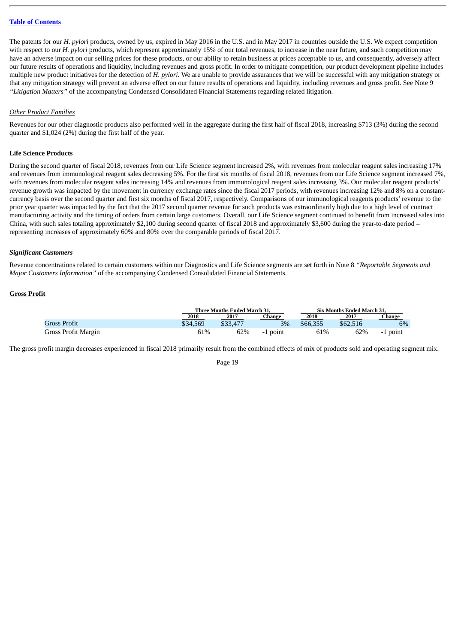The patents for our *H. pylori* products, owned by us, expired in May 2016 in the U.S. and in May 2017 in countries outside the U.S. We expect competition with respect to our *H. pylori* products, which represent approximately 15% of our total revenues, to increase in the near future, and such competition may have an adverse impact on our selling prices for these products, or our ability to retain business at prices acceptable to us, and consequently, adversely affect our future results of operations and liquidity, including revenues and gross profit. In order to mitigate competition, our product development pipeline includes multiple new product initiatives for the detection of *H. pylori*. We are unable to provide assurances that we will be successful with any mitigation strategy or that any mitigation strategy will prevent an adverse effect on our future results of operations and liquidity, including revenues and gross profit. See Note 9 *"Litigation Matters"* of the accompanying Condensed Consolidated Financial Statements regarding related litigation.

#### *Other Product Families*

Revenues for our other diagnostic products also performed well in the aggregate during the first half of fiscal 2018, increasing \$713 (3%) during the second quarter and \$1,024 (2%) during the first half of the year.

#### **Life Science Products**

During the second quarter of fiscal 2018, revenues from our Life Science segment increased 2%, with revenues from molecular reagent sales increasing 17% and revenues from immunological reagent sales decreasing 5%. For the first six months of fiscal 2018, revenues from our Life Science segment increased 7%, with revenues from molecular reagent sales increasing 14% and revenues from immunological reagent sales increasing 3%. Our molecular reagent products' revenue growth was impacted by the movement in currency exchange rates since the fiscal 2017 periods, with revenues increasing 12% and 8% on a constantcurrency basis over the second quarter and first six months of fiscal 2017, respectively. Comparisons of our immunological reagents products' revenue to the prior year quarter was impacted by the fact that the 2017 second quarter revenue for such products was extraordinarily high due to a high level of contract manufacturing activity and the timing of orders from certain large customers. Overall, our Life Science segment continued to benefit from increased sales into China, with such sales totaling approximately \$2,100 during second quarter of fiscal 2018 and approximately \$3,600 during the year-to-date period – representing increases of approximately 60% and 80% over the comparable periods of fiscal 2017.

#### *Significant Customers*

Revenue concentrations related to certain customers within our Diagnostics and Life Science segments are set forth in Note 8 *"Reportable Segments and Major Customers Information"* of the accompanying Condensed Consolidated Financial Statements.

#### **Gross Profit**

|                     |          | Three Months Ended March 31. |          | <b>Six Months Ended March 31.</b> |          |          |  |
|---------------------|----------|------------------------------|----------|-----------------------------------|----------|----------|--|
|                     | 2018     | 2017                         | Change   | 2018                              | 2017     | $Change$ |  |
| Gross Profit        | \$34,569 | \$33,477                     | 3%       | \$66,355                          | \$62,516 | 6%       |  |
| Gross Profit Margin | 61%      | 62%                          | -1 point | 61%                               | 62%      | l point  |  |

The gross profit margin decreases experienced in fiscal 2018 primarily result from the combined effects of mix of products sold and operating segment mix.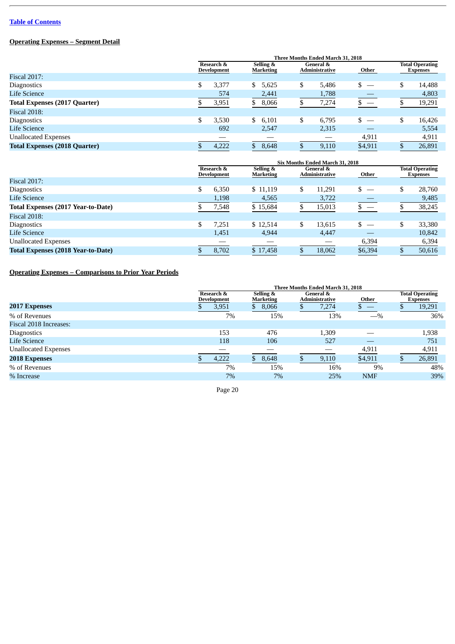# **Operating Expenses – Segment Detail**

|                                      | Three Months Ended March 31, 2018 |                           |    |                               |    |                                               |              |  |                                           |
|--------------------------------------|-----------------------------------|---------------------------|----|-------------------------------|----|-----------------------------------------------|--------------|--|-------------------------------------------|
|                                      |                                   | Research &<br>Development |    | Selling &<br><b>Marketing</b> |    | <b>General &amp;</b><br><b>Administrative</b> | Other        |  | <b>Total Operating</b><br><b>Expenses</b> |
| <b>Fiscal 2017:</b>                  |                                   |                           |    |                               |    |                                               |              |  |                                           |
| <b>Diagnostics</b>                   | \$                                | 3,377                     | \$ | 5,625                         | \$ | 5,486                                         | \$<br>$\sim$ |  | 14,488                                    |
| <b>Life Science</b>                  |                                   | 574                       |    | 2,441                         |    | 1,788                                         |              |  | 4,803                                     |
| <b>Total Expenses (2017 Quarter)</b> |                                   | 3,951                     | ъ  | 8,066                         |    | 7,274                                         |              |  | 19,291                                    |
| <b>Fiscal 2018:</b>                  |                                   |                           |    |                               |    |                                               |              |  |                                           |
| <b>Diagnostics</b>                   | \$                                | 3,530                     | \$ | 6,101                         | \$ | 6.795                                         | \$.          |  | 16,426                                    |
| <b>Life Science</b>                  |                                   | 692                       |    | 2,547                         |    | 2,315                                         |              |  | 5,554                                     |
| <b>Unallocated Expenses</b>          |                                   |                           |    | __                            |    | __                                            | 4,911        |  | 4,911                                     |
| <b>Total Expenses (2018 Quarter)</b> |                                   | 4,222                     | \$ | 8,648                         |    | 9,110                                         | \$4,911      |  | 26,891                                    |

|                                           | Six Months Ended March 31, 2018 |       |                               |    |                             |  |         |   |                                           |
|-------------------------------------------|---------------------------------|-------|-------------------------------|----|-----------------------------|--|---------|---|-------------------------------------------|
|                                           | Research &<br>Development       |       | Selling &<br><b>Marketing</b> |    | General &<br>Administrative |  | Other   |   | <b>Total Operating</b><br><b>Expenses</b> |
| Fiscal 2017:                              |                                 |       |                               |    |                             |  |         |   |                                           |
| Diagnostics                               | \$                              | 6.350 | \$11,119                      | \$ | 11,291                      |  | $s =$   | c | 28,760                                    |
| <b>Life Science</b>                       |                                 | 1,198 | 4,565                         |    | 3,722                       |  |         |   | 9,485                                     |
| Total Expenses (2017 Year-to-Date)        |                                 | 7,548 | \$15,684                      |    | 15,013                      |  |         |   | 38,245                                    |
| <b>Fiscal 2018:</b>                       |                                 |       |                               |    |                             |  |         |   |                                           |
| Diagnostics                               | \$                              | 7.251 | \$12.514                      | \$ | 13.615                      |  | $s =$   |   | 33,380                                    |
| Life Science                              |                                 | 1,451 | 4,944                         |    | 4.447                       |  | __      |   | 10,842                                    |
| <b>Unallocated Expenses</b>               |                                 |       |                               |    |                             |  | 6,394   |   | 6,394                                     |
| <b>Total Expenses (2018 Year-to-Date)</b> |                                 | 8.702 | \$17,458                      |    | 18,062                      |  | \$6,394 |   | 50,616                                    |

# **Operating Expenses – Comparisons to Prior Year Periods**

| Three Months Ended March 31, 2018         |  |  |  |  |  |  |  |
|-------------------------------------------|--|--|--|--|--|--|--|
| <b>Total Operating</b><br><b>Expenses</b> |  |  |  |  |  |  |  |
| 19,291                                    |  |  |  |  |  |  |  |
| 36%                                       |  |  |  |  |  |  |  |
|                                           |  |  |  |  |  |  |  |
| 1,938                                     |  |  |  |  |  |  |  |
| 751                                       |  |  |  |  |  |  |  |
| 4,911                                     |  |  |  |  |  |  |  |
| 26,891                                    |  |  |  |  |  |  |  |
| 48%                                       |  |  |  |  |  |  |  |
| 39%                                       |  |  |  |  |  |  |  |
| $-$ %<br>9%                               |  |  |  |  |  |  |  |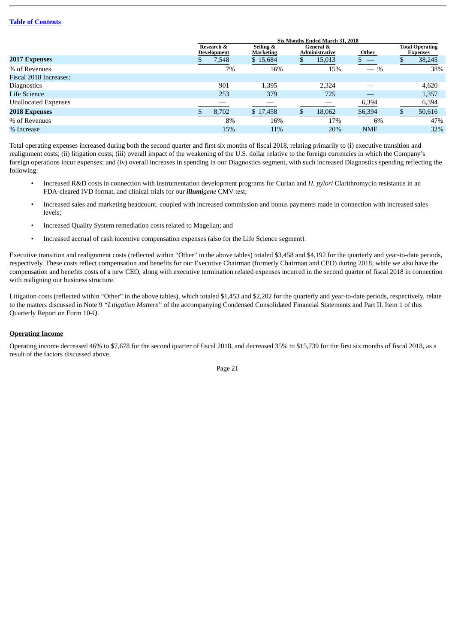|                             |                                  |                               | Six Months Ended March 31, 2018    |              |                                           |
|-----------------------------|----------------------------------|-------------------------------|------------------------------------|--------------|-------------------------------------------|
|                             | Research &<br><b>Development</b> | Selling &<br><b>Marketing</b> | General &<br><b>Administrative</b> | <b>Other</b> | <b>Total Operating</b><br><b>Expenses</b> |
| 2017 Expenses               | 7,548                            | \$15,684                      | 15,013                             |              | 38,245                                    |
| % of Revenues               | 7%                               | 16%                           | 15%                                | $-$ %        | 38%                                       |
| Fiscal 2018 Increases:      |                                  |                               |                                    |              |                                           |
| Diagnostics                 | 901                              | 1,395                         | 2,324                              |              | 4,620                                     |
| Life Science                | 253                              | 379                           | 725                                |              | 1,357                                     |
| <b>Unallocated Expenses</b> |                                  |                               |                                    | 6,394        | 6,394                                     |
| 2018 Expenses               | 8,702                            | \$17,458                      | 18,062                             | \$6,394      | 50,616                                    |
| % of Revenues               | 8%                               | 16%                           | 17%                                | 6%           | 47%                                       |
| % Increase                  | 15%                              | 11%                           | 20%                                | <b>NMF</b>   | 32%                                       |
|                             |                                  |                               |                                    |              |                                           |

Total operating expenses increased during both the second quarter and first six months of fiscal 2018, relating primarily to (i) executive transition and realignment costs; (ii) litigation costs; (iii) overall impact of the weakening of the U.S. dollar relative to the foreign currencies in which the Company's foreign operations incur expenses; and (iv) overall increases in spending in our Diagnostics segment, with such increased Diagnostics spending reflecting the following:

- Increased R&D costs in connection with instrumentation development programs for Curian and *H. pylori* Clarithromycin resistance in an FDA-cleared IVD format, and clinical trials for our *illumigene* CMV test;
- Increased sales and marketing headcount, coupled with increased commission and bonus payments made in connection with increased sales levels;
- Increased Quality System remediation costs related to Magellan; and
- Increased accrual of cash incentive compensation expenses (also for the Life Science segment).

Executive transition and realignment costs (reflected within "Other" in the above tables) totaled \$3,458 and \$4,192 for the quarterly and year-to-date periods, respectively. These costs reflect compensation and benefits for our Executive Chairman (formerly Chairman and CEO) during 2018, while we also have the compensation and benefits costs of a new CEO, along with executive termination related expenses incurred in the second quarter of fiscal 2018 in connection with realigning our business structure.

Litigation costs (reflected within "Other" in the above tables), which totaled \$1,453 and \$2,202 for the quarterly and year-to-date periods, respectively, relate to the matters discussed in Note 9 *"Litigation Matters"* of the accompanying Condensed Consolidated Financial Statements and Part II. Item 1 of this Quarterly Report on Form 10-Q.

## **Operating Income**

Operating income decreased 46% to \$7,678 for the second quarter of fiscal 2018, and decreased 35% to \$15,739 for the first six months of fiscal 2018, as a result of the factors discussed above.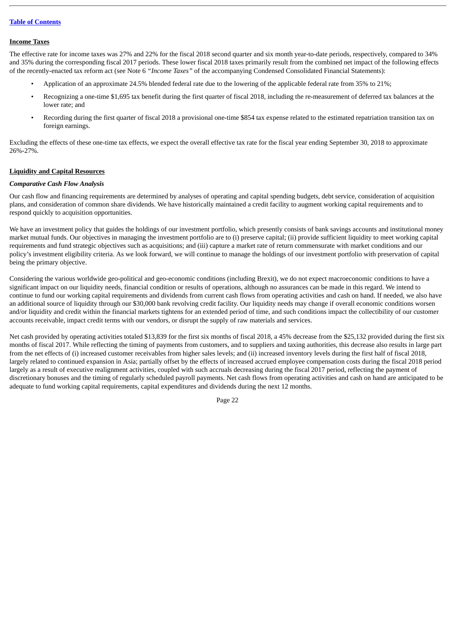#### **Income Taxes**

The effective rate for income taxes was 27% and 22% for the fiscal 2018 second quarter and six month year-to-date periods, respectively, compared to 34% and 35% during the corresponding fiscal 2017 periods. These lower fiscal 2018 taxes primarily result from the combined net impact of the following effects of the recently-enacted tax reform act (see Note 6 *"Income Taxes"* of the accompanying Condensed Consolidated Financial Statements):

- Application of an approximate 24.5% blended federal rate due to the lowering of the applicable federal rate from 35% to 21%;
- Recognizing a one-time \$1,695 tax benefit during the first quarter of fiscal 2018, including the re-measurement of deferred tax balances at the lower rate; and
- Recording during the first quarter of fiscal 2018 a provisional one-time \$854 tax expense related to the estimated repatriation transition tax on foreign earnings.

Excluding the effects of these one-time tax effects, we expect the overall effective tax rate for the fiscal year ending September 30, 2018 to approximate 26%-27%.

#### **Liquidity and Capital Resources**

#### *Comparative Cash Flow Analysis*

Our cash flow and financing requirements are determined by analyses of operating and capital spending budgets, debt service, consideration of acquisition plans, and consideration of common share dividends. We have historically maintained a credit facility to augment working capital requirements and to respond quickly to acquisition opportunities.

We have an investment policy that guides the holdings of our investment portfolio, which presently consists of bank savings accounts and institutional money market mutual funds. Our objectives in managing the investment portfolio are to (i) preserve capital; (ii) provide sufficient liquidity to meet working capital requirements and fund strategic objectives such as acquisitions; and (iii) capture a market rate of return commensurate with market conditions and our policy's investment eligibility criteria. As we look forward, we will continue to manage the holdings of our investment portfolio with preservation of capital being the primary objective.

Considering the various worldwide geo-political and geo-economic conditions (including Brexit), we do not expect macroeconomic conditions to have a significant impact on our liquidity needs, financial condition or results of operations, although no assurances can be made in this regard. We intend to continue to fund our working capital requirements and dividends from current cash flows from operating activities and cash on hand. If needed, we also have an additional source of liquidity through our \$30,000 bank revolving credit facility. Our liquidity needs may change if overall economic conditions worsen and/or liquidity and credit within the financial markets tightens for an extended period of time, and such conditions impact the collectibility of our customer accounts receivable, impact credit terms with our vendors, or disrupt the supply of raw materials and services.

Net cash provided by operating activities totaled \$13,839 for the first six months of fiscal 2018, a 45% decrease from the \$25,132 provided during the first six months of fiscal 2017. While reflecting the timing of payments from customers, and to suppliers and taxing authorities, this decrease also results in large part from the net effects of (i) increased customer receivables from higher sales levels; and (ii) increased inventory levels during the first half of fiscal 2018, largely related to continued expansion in Asia; partially offset by the effects of increased accrued employee compensation costs during the fiscal 2018 period largely as a result of executive realignment activities, coupled with such accruals decreasing during the fiscal 2017 period, reflecting the payment of discretionary bonuses and the timing of regularly scheduled payroll payments. Net cash flows from operating activities and cash on hand are anticipated to be adequate to fund working capital requirements, capital expenditures and dividends during the next 12 months.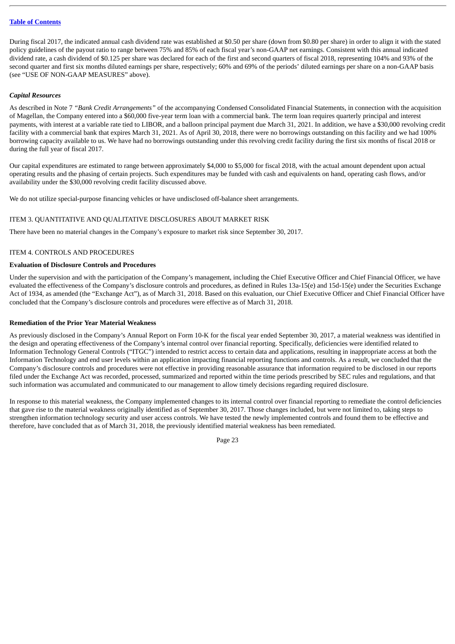During fiscal 2017, the indicated annual cash dividend rate was established at \$0.50 per share (down from \$0.80 per share) in order to align it with the stated policy guidelines of the payout ratio to range between 75% and 85% of each fiscal year's non-GAAP net earnings. Consistent with this annual indicated dividend rate, a cash dividend of \$0.125 per share was declared for each of the first and second quarters of fiscal 2018, representing 104% and 93% of the second quarter and first six months diluted earnings per share, respectively; 60% and 69% of the periods' diluted earnings per share on a non-GAAP basis (see "USE OF NON-GAAP MEASURES" above).

#### *Capital Resources*

As described in Note 7 *"Bank Credit Arrangements"* of the accompanying Condensed Consolidated Financial Statements, in connection with the acquisition of Magellan, the Company entered into a \$60,000 five-year term loan with a commercial bank. The term loan requires quarterly principal and interest payments, with interest at a variable rate tied to LIBOR, and a balloon principal payment due March 31, 2021. In addition, we have a \$30,000 revolving credit facility with a commercial bank that expires March 31, 2021. As of April 30, 2018, there were no borrowings outstanding on this facility and we had 100% borrowing capacity available to us. We have had no borrowings outstanding under this revolving credit facility during the first six months of fiscal 2018 or during the full year of fiscal 2017.

Our capital expenditures are estimated to range between approximately \$4,000 to \$5,000 for fiscal 2018, with the actual amount dependent upon actual operating results and the phasing of certain projects. Such expenditures may be funded with cash and equivalents on hand, operating cash flows, and/or availability under the \$30,000 revolving credit facility discussed above.

We do not utilize special-purpose financing vehicles or have undisclosed off-balance sheet arrangements.

#### <span id="page-26-0"></span>ITEM 3. QUANTITATIVE AND QUALITATIVE DISCLOSURES ABOUT MARKET RISK

There have been no material changes in the Company's exposure to market risk since September 30, 2017.

#### <span id="page-26-1"></span>ITEM 4. CONTROLS AND PROCEDURES

## **Evaluation of Disclosure Controls and Procedures**

Under the supervision and with the participation of the Company's management, including the Chief Executive Officer and Chief Financial Officer, we have evaluated the effectiveness of the Company's disclosure controls and procedures, as defined in Rules 13a-15(e) and 15d-15(e) under the Securities Exchange Act of 1934, as amended (the "Exchange Act"), as of March 31, 2018. Based on this evaluation, our Chief Executive Officer and Chief Financial Officer have concluded that the Company's disclosure controls and procedures were effective as of March 31, 2018.

#### **Remediation of the Prior Year Material Weakness**

As previously disclosed in the Company's Annual Report on Form 10-K for the fiscal year ended September 30, 2017, a material weakness was identified in the design and operating effectiveness of the Company's internal control over financial reporting. Specifically, deficiencies were identified related to Information Technology General Controls ("ITGC") intended to restrict access to certain data and applications, resulting in inappropriate access at both the Information Technology and end user levels within an application impacting financial reporting functions and controls. As a result, we concluded that the Company's disclosure controls and procedures were not effective in providing reasonable assurance that information required to be disclosed in our reports filed under the Exchange Act was recorded, processed, summarized and reported within the time periods prescribed by SEC rules and regulations, and that such information was accumulated and communicated to our management to allow timely decisions regarding required disclosure.

In response to this material weakness, the Company implemented changes to its internal control over financial reporting to remediate the control deficiencies that gave rise to the material weakness originally identified as of September 30, 2017. Those changes included, but were not limited to, taking steps to strengthen information technology security and user access controls. We have tested the newly implemented controls and found them to be effective and therefore, have concluded that as of March 31, 2018, the previously identified material weakness has been remediated.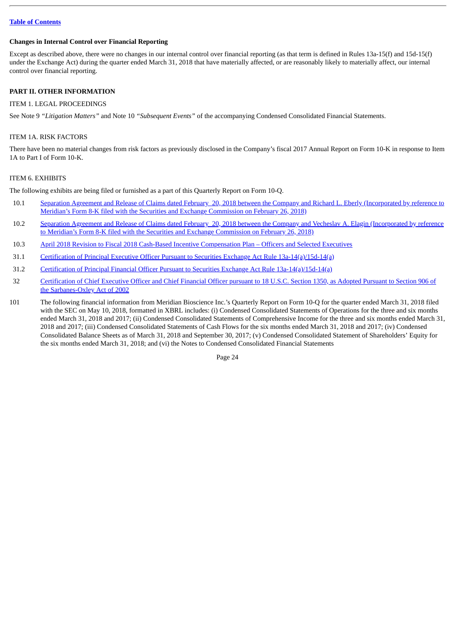#### **Changes in Internal Control over Financial Reporting**

Except as described above, there were no changes in our internal control over financial reporting (as that term is defined in Rules 13a-15(f) and 15d-15(f) under the Exchange Act) during the quarter ended March 31, 2018 that have materially affected, or are reasonably likely to materially affect, our internal control over financial reporting.

## <span id="page-27-0"></span>**PART II. OTHER INFORMATION**

#### <span id="page-27-1"></span>ITEM 1. LEGAL PROCEEDINGS

See Note 9 *"Litigation Matters"* and Note 10 *"Subsequent Events"* of the accompanying Condensed Consolidated Financial Statements.

#### <span id="page-27-2"></span>ITEM 1A. RISK FACTORS

There have been no material changes from risk factors as previously disclosed in the Company's fiscal 2017 Annual Report on Form 10-K in response to Item 1A to Part I of Form 10-K.

#### <span id="page-27-3"></span>ITEM 6. EXHIBITS

The following exhibits are being filed or furnished as a part of this Quarterly Report on Form 10-Q.

- 10.1 Separation Agreement and Release of Claims dated February 20, 2018 between the Company and Richard L. Eberly [\(Incorporated](http://www.sec.gov/Archives/edgar/data/794172/000089225118000030/form8k022618_ex10_1.htm) by reference to Meridian's Form 8-K filed with the Securities and Exchange Commission on February 26, 2018)
- 10.2 Separation Agreement and Release of Claims dated February 20, 2018 between the Company and Vecheslav A. Elagin [\(Incorporated](http://www.sec.gov/Archives/edgar/data/794172/000089225118000030/form8k022618_ex10_2.htm) by reference to Meridian's Form 8-K filed with the Securities and Exchange Commission on February 26, 2018)
- 10.3 April 2018 Revision to Fiscal 2018 Cash-Based Incentive [Compensation](#page-29-0) Plan Officers and Selected Executives
- 31.1 Certification of Principal Executive Officer Pursuant to Securities Exchange Act Rule [13a-14\(a\)/15d-14\(a\)](#page-32-0)
- 31.2 Certification of Principal Financial Officer Pursuant to Securities Exchange Act Rule [13a-14\(a\)/15d-14\(a\)](#page-33-0)
- 32 Certification of Chief Executive Officer and Chief Financial Officer pursuant to 18 U.S.C. Section 1350, as Adopted Pursuant to Section 906 of the [Sarbanes-Oxley](#page-34-0) Act of 2002
- 101 The following financial information from Meridian Bioscience Inc.'s Quarterly Report on Form 10-Q for the quarter ended March 31, 2018 filed with the SEC on May 10, 2018, formatted in XBRL includes: (i) Condensed Consolidated Statements of Operations for the three and six months ended March 31, 2018 and 2017; (ii) Condensed Consolidated Statements of Comprehensive Income for the three and six months ended March 31, 2018 and 2017; (iii) Condensed Consolidated Statements of Cash Flows for the six months ended March 31, 2018 and 2017; (iv) Condensed Consolidated Balance Sheets as of March 31, 2018 and September 30, 2017; (v) Condensed Consolidated Statement of Shareholders' Equity for the six months ended March 31, 2018; and (vi) the Notes to Condensed Consolidated Financial Statements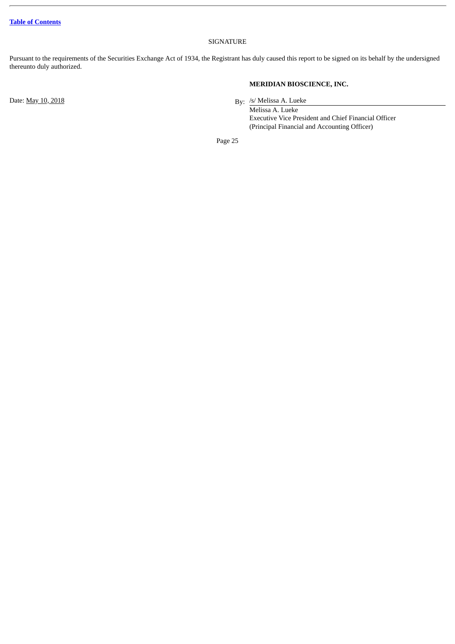Date: May 10, 2018

## SIGNATURE

<span id="page-28-0"></span>Pursuant to the requirements of the Securities Exchange Act of 1934, the Registrant has duly caused this report to be signed on its behalf by the undersigned thereunto duly authorized.

**MERIDIAN BIOSCIENCE, INC.**

By: /s/ Melissa A. Lueke

Melissa A. Lueke Executive Vice President and Chief Financial Officer (Principal Financial and Accounting Officer)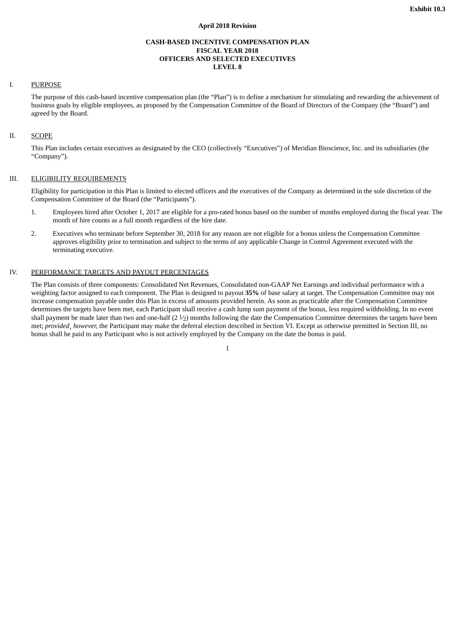#### **April 2018 Revision**

## **CASH-BASED INCENTIVE COMPENSATION PLAN FISCAL YEAR 2018 OFFICERS AND SELECTED EXECUTIVES LEVEL 8**

## <span id="page-29-0"></span>I. PURPOSE

The purpose of this cash-based incentive compensation plan (the "Plan") is to define a mechanism for stimulating and rewarding the achievement of business goals by eligible employees, as proposed by the Compensation Committee of the Board of Directors of the Company (the "Board") and agreed by the Board.

## II. SCOPE

This Plan includes certain executives as designated by the CEO (collectively "Executives") of Meridian Bioscience, Inc. and its subsidiaries (the "Company").

## III. ELIGIBILITY REQUIREMENTS

Eligibility for participation in this Plan is limited to elected officers and the executives of the Company as determined in the sole discretion of the Compensation Committee of the Board (the "Participants").

- 1. Employees hired after October 1, 2017 are eligible for a pro-rated bonus based on the number of months employed during the fiscal year. The month of hire counts as a full month regardless of the hire date.
- 2. Executives who terminate before September 30, 2018 for any reason are not eligible for a bonus unless the Compensation Committee approves eligibility prior to termination and subject to the terms of any applicable Change in Control Agreement executed with the terminating executive.

#### IV. PERFORMANCE TARGETS AND PAYOUT PERCENTAGES

The Plan consists of three components: Consolidated Net Revenues, Consolidated non-GAAP Net Earnings and individual performance with a weighting factor assigned to each component. The Plan is designed to payout **35%** of base salary at target. The Compensation Committee may not increase compensation payable under this Plan in excess of amounts provided herein. As soon as practicable after the Compensation Committee determines the targets have been met, each Participant shall receive a cash lump sum payment of the bonus, less required withholding. In no event shall payment be made later than two and one-half  $(2\frac{1}{2})$  months following the date the Compensation Committee determines the targets have been met; *provided¸ however,* the Participant may make the deferral election described in Section VI. Except as otherwise permitted in Section III, no bonus shall be paid to any Participant who is not actively employed by the Company on the date the bonus is paid.

<sup>1</sup>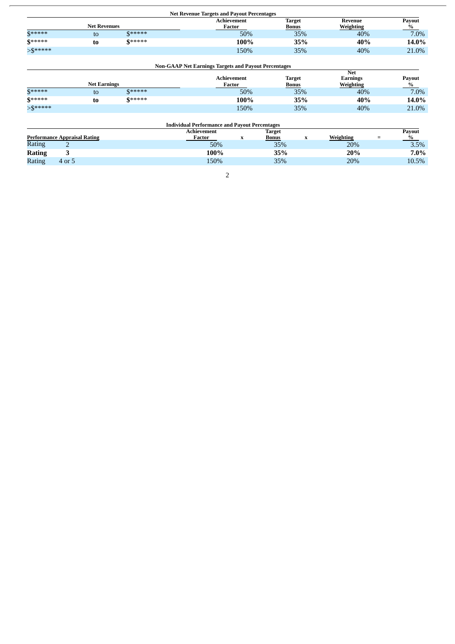|             |                     |               | <b>Net Revenue Targets and Payout Percentages</b> |              |           |        |
|-------------|---------------------|---------------|---------------------------------------------------|--------------|-----------|--------|
|             |                     |               | Achievement                                       | Target       | Revenue   | Payout |
|             | <b>Net Revenues</b> |               | Factor                                            | <b>Bonus</b> | Weighting | %      |
| \$*****     | to                  | <b>C*****</b> | 50%                                               | 35%          | 40%       | 7.0%   |
| $S*****$    | t0                  | <b>C*****</b> | 100%                                              | 35%          | 40%       | 14.0%  |
| $>$ \$***** |                     |               | 150%                                              | 35%          | 40%       | 21.0%  |

# **Non-GAAP Net Earnings Targets and Payout Percentages**

|             |                     |               | . .         |               | <b>Net</b> |               |
|-------------|---------------------|---------------|-------------|---------------|------------|---------------|
|             |                     |               | Achievement | <b>Target</b> | Earnings   | Payout        |
|             | <b>Net Earnings</b> |               | Factor      | <b>Bonus</b>  | Weighting  | $\frac{9}{6}$ |
| $$*****$    | to                  | <b>C*****</b> | 50%         | 35%           | 40%        | 7.0%          |
| $S*****$    | to                  | <b>C*****</b> | 100%        | 35%           | 40%        | 14.0%         |
| $>$ \$***** |                     |               | 150%        | 35%           | 40%        | 21.0%         |

| <b>Individual Performance and Payout Percentages</b> |                                     |        |   |       |   |           |     |         |
|------------------------------------------------------|-------------------------------------|--------|---|-------|---|-----------|-----|---------|
| <b>Achievement</b><br><b>Target</b>                  |                                     |        |   |       |   |           |     |         |
|                                                      | <b>Performance Appraisal Rating</b> | Factor | л | Bonus | л | Weighting | $=$ | %       |
| Rating                                               |                                     | 50%    |   | 35%   |   | 20%       |     | 3.5%    |
| <b>Rating</b>                                        |                                     | 100%   |   | 35%   |   | 20%       |     | $7.0\%$ |
| Rating                                               | 4 or 5                              | 150%   |   | 35%   |   | 20%       |     | 10.5%   |

2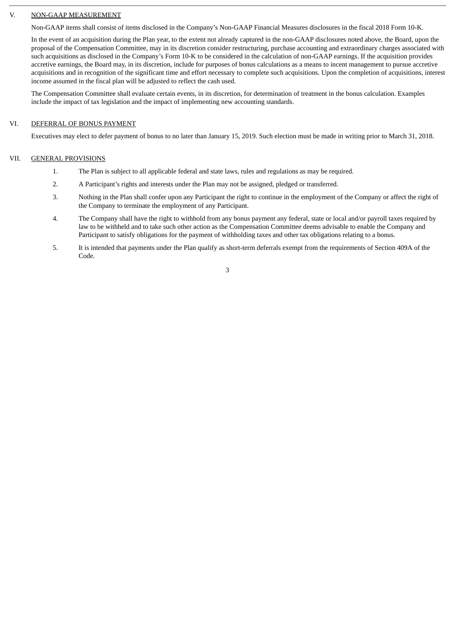#### V. NON-GAAP MEASUREMENT

Non-GAAP items shall consist of items disclosed in the Company's Non-GAAP Financial Measures disclosures in the fiscal 2018 Form 10-K.

In the event of an acquisition during the Plan year, to the extent not already captured in the non-GAAP disclosures noted above, the Board, upon the proposal of the Compensation Committee, may in its discretion consider restructuring, purchase accounting and extraordinary charges associated with such acquisitions as disclosed in the Company's Form 10-K to be considered in the calculation of non-GAAP earnings. If the acquisition provides accretive earnings, the Board may, in its discretion, include for purposes of bonus calculations as a means to incent management to pursue accretive acquisitions and in recognition of the significant time and effort necessary to complete such acquisitions. Upon the completion of acquisitions, interest income assumed in the fiscal plan will be adjusted to reflect the cash used.

The Compensation Committee shall evaluate certain events, in its discretion, for determination of treatment in the bonus calculation. Examples include the impact of tax legislation and the impact of implementing new accounting standards.

## VI. DEFERRAL OF BONUS PAYMENT

Executives may elect to defer payment of bonus to no later than January 15, 2019. Such election must be made in writing prior to March 31, 2018.

#### VII. GENERAL PROVISIONS

- 1. The Plan is subject to all applicable federal and state laws, rules and regulations as may be required.
- 2. A Participant's rights and interests under the Plan may not be assigned, pledged or transferred.
- 3. Nothing in the Plan shall confer upon any Participant the right to continue in the employment of the Company or affect the right of the Company to terminate the employment of any Participant.
- 4. The Company shall have the right to withhold from any bonus payment any federal, state or local and/or payroll taxes required by law to be withheld and to take such other action as the Compensation Committee deems advisable to enable the Company and Participant to satisfy obligations for the payment of withholding taxes and other tax obligations relating to a bonus.
- 5. It is intended that payments under the Plan qualify as short-term deferrals exempt from the requirements of Section 409A of the Code.

3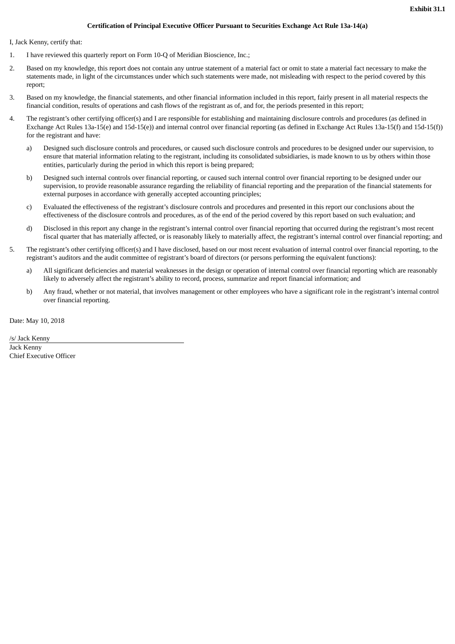## **Certification of Principal Executive Officer Pursuant to Securities Exchange Act Rule 13a-14(a)**

<span id="page-32-0"></span>I, Jack Kenny, certify that:

- 1. I have reviewed this quarterly report on Form 10-Q of Meridian Bioscience, Inc.;
- 2. Based on my knowledge, this report does not contain any untrue statement of a material fact or omit to state a material fact necessary to make the statements made, in light of the circumstances under which such statements were made, not misleading with respect to the period covered by this report;
- 3. Based on my knowledge, the financial statements, and other financial information included in this report, fairly present in all material respects the financial condition, results of operations and cash flows of the registrant as of, and for, the periods presented in this report;
- 4. The registrant's other certifying officer(s) and I are responsible for establishing and maintaining disclosure controls and procedures (as defined in Exchange Act Rules 13a-15(e) and 15d-15(e)) and internal control over financial reporting (as defined in Exchange Act Rules 13a-15(f) and 15d-15(f)) for the registrant and have:
	- a) Designed such disclosure controls and procedures, or caused such disclosure controls and procedures to be designed under our supervision, to ensure that material information relating to the registrant, including its consolidated subsidiaries, is made known to us by others within those entities, particularly during the period in which this report is being prepared;
	- b) Designed such internal controls over financial reporting, or caused such internal control over financial reporting to be designed under our supervision, to provide reasonable assurance regarding the reliability of financial reporting and the preparation of the financial statements for external purposes in accordance with generally accepted accounting principles;
	- c) Evaluated the effectiveness of the registrant's disclosure controls and procedures and presented in this report our conclusions about the effectiveness of the disclosure controls and procedures, as of the end of the period covered by this report based on such evaluation; and
	- d) Disclosed in this report any change in the registrant's internal control over financial reporting that occurred during the registrant's most recent fiscal quarter that has materially affected, or is reasonably likely to materially affect, the registrant's internal control over financial reporting; and
- 5. The registrant's other certifying officer(s) and I have disclosed, based on our most recent evaluation of internal control over financial reporting, to the registrant's auditors and the audit committee of registrant's board of directors (or persons performing the equivalent functions):
	- a) All significant deficiencies and material weaknesses in the design or operation of internal control over financial reporting which are reasonably likely to adversely affect the registrant's ability to record, process, summarize and report financial information; and
	- b) Any fraud, whether or not material, that involves management or other employees who have a significant role in the registrant's internal control over financial reporting.

Date: May 10, 2018

/s/ Jack Kenny

Jack Kenny Chief Executive Officer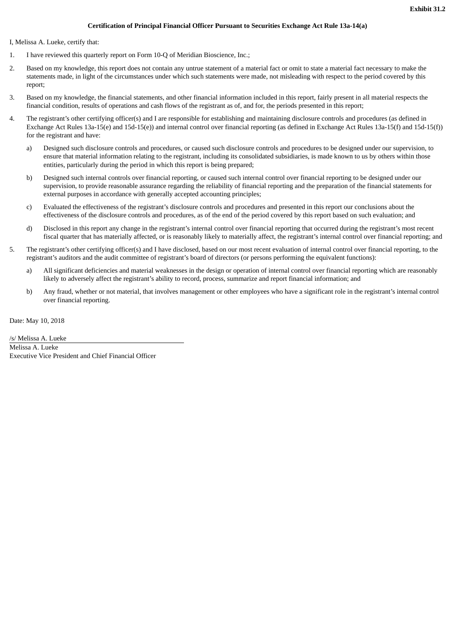## **Certification of Principal Financial Officer Pursuant to Securities Exchange Act Rule 13a-14(a)**

<span id="page-33-0"></span>I, Melissa A. Lueke, certify that:

- 1. I have reviewed this quarterly report on Form 10-Q of Meridian Bioscience, Inc.;
- 2. Based on my knowledge, this report does not contain any untrue statement of a material fact or omit to state a material fact necessary to make the statements made, in light of the circumstances under which such statements were made, not misleading with respect to the period covered by this report;
- 3. Based on my knowledge, the financial statements, and other financial information included in this report, fairly present in all material respects the financial condition, results of operations and cash flows of the registrant as of, and for, the periods presented in this report;
- 4. The registrant's other certifying officer(s) and I are responsible for establishing and maintaining disclosure controls and procedures (as defined in Exchange Act Rules 13a-15(e) and 15d-15(e)) and internal control over financial reporting (as defined in Exchange Act Rules 13a-15(f) and 15d-15(f)) for the registrant and have:
	- a) Designed such disclosure controls and procedures, or caused such disclosure controls and procedures to be designed under our supervision, to ensure that material information relating to the registrant, including its consolidated subsidiaries, is made known to us by others within those entities, particularly during the period in which this report is being prepared;
	- b) Designed such internal controls over financial reporting, or caused such internal control over financial reporting to be designed under our supervision, to provide reasonable assurance regarding the reliability of financial reporting and the preparation of the financial statements for external purposes in accordance with generally accepted accounting principles;
	- c) Evaluated the effectiveness of the registrant's disclosure controls and procedures and presented in this report our conclusions about the effectiveness of the disclosure controls and procedures, as of the end of the period covered by this report based on such evaluation; and
	- d) Disclosed in this report any change in the registrant's internal control over financial reporting that occurred during the registrant's most recent fiscal quarter that has materially affected, or is reasonably likely to materially affect, the registrant's internal control over financial reporting; and
- 5. The registrant's other certifying officer(s) and I have disclosed, based on our most recent evaluation of internal control over financial reporting, to the registrant's auditors and the audit committee of registrant's board of directors (or persons performing the equivalent functions):
	- a) All significant deficiencies and material weaknesses in the design or operation of internal control over financial reporting which are reasonably likely to adversely affect the registrant's ability to record, process, summarize and report financial information; and
	- b) Any fraud, whether or not material, that involves management or other employees who have a significant role in the registrant's internal control over financial reporting.

Date: May 10, 2018

/s/ Melissa A. Lueke

Melissa A. Lueke Executive Vice President and Chief Financial Officer